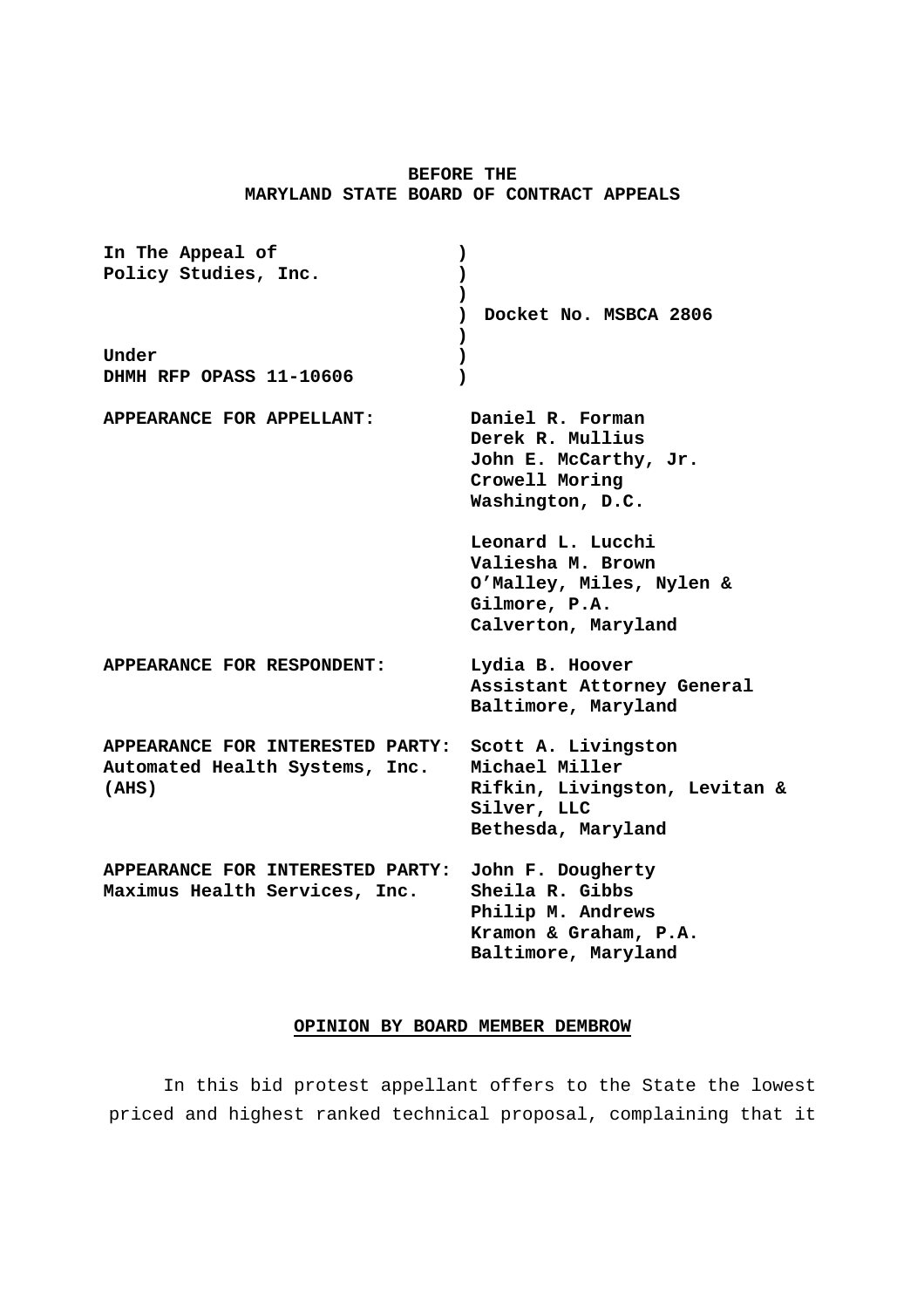# **BEFORE THE MARYLAND STATE BOARD OF CONTRACT APPEALS**

| In The Appeal of                                                            | $\lambda$                                                                                                   |
|-----------------------------------------------------------------------------|-------------------------------------------------------------------------------------------------------------|
| Policy Studies, Inc.                                                        | $\mathcal{L}$                                                                                               |
|                                                                             | $\lambda$<br>Docket No. MSBCA 2806<br>℩                                                                     |
|                                                                             |                                                                                                             |
| Under                                                                       | $\lambda$                                                                                                   |
| DHMH RFP OPASS 11-10606                                                     | 1                                                                                                           |
| APPEARANCE FOR APPELLANT:                                                   | Daniel R. Forman<br>Derek R. Mullius<br>John E. McCarthy, Jr.<br>Crowell Moring<br>Washington, D.C.         |
|                                                                             | Leonard L. Lucchi<br>Valiesha M. Brown<br>O'Malley, Miles, Nylen &<br>Gilmore, P.A.<br>Calverton, Maryland  |
| APPEARANCE FOR RESPONDENT:                                                  | Lydia B. Hoover<br>Assistant Attorney General<br>Baltimore, Maryland                                        |
| APPEARANCE FOR INTERESTED PARTY:<br>Automated Health Systems, Inc.<br>(AHS) | Scott A. Livingston<br>Michael Miller<br>Rifkin, Livingston, Levitan &<br>Silver, LLC<br>Bethesda, Maryland |
| APPEARANCE FOR INTERESTED PARTY:<br>Maximus Health Services, Inc.           | John F. Dougherty<br>Sheila R. Gibbs<br>Philip M. Andrews<br>Kramon & Graham, P.A.<br>Baltimore, Maryland   |

## **OPINION BY BOARD MEMBER DEMBROW**

In this bid protest appellant offers to the State the lowest priced and highest ranked technical proposal, complaining that it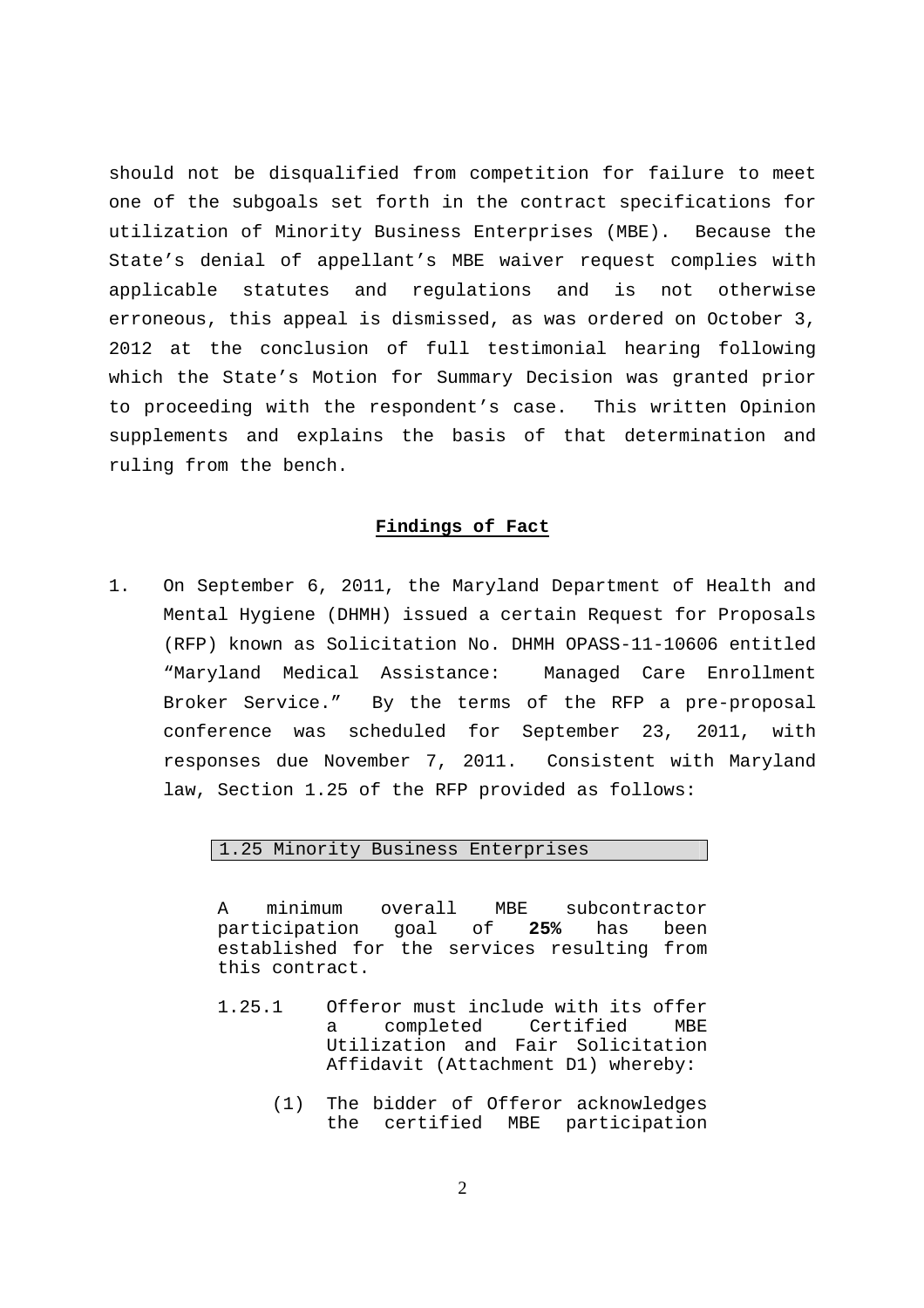should not be disqualified from competition for failure to meet one of the subgoals set forth in the contract specifications for utilization of Minority Business Enterprises (MBE). Because the State's denial of appellant's MBE waiver request complies with applicable statutes and regulations and is not otherwise erroneous, this appeal is dismissed, as was ordered on October 3, 2012 at the conclusion of full testimonial hearing following which the State's Motion for Summary Decision was granted prior to proceeding with the respondent's case. This written Opinion supplements and explains the basis of that determination and ruling from the bench.

### **Findings of Fact**

1. On September 6, 2011, the Maryland Department of Health and Mental Hygiene (DHMH) issued a certain Request for Proposals (RFP) known as Solicitation No. DHMH OPASS-11-10606 entitled "Maryland Medical Assistance: Managed Care Enrollment Broker Service." By the terms of the RFP a pre-proposal conference was scheduled for September 23, 2011, with responses due November 7, 2011. Consistent with Maryland law, Section 1.25 of the RFP provided as follows:

## 1.25 Minority Business Enterprises

A minimum overall MBE subcontractor participation goal of **25%** has been established for the services resulting from this contract.

- 1.25.1 Offeror must include with its offer a completed Certified MBE Utilization and Fair Solicitation Affidavit (Attachment D1) whereby:
	- (1) The bidder of Offeror acknowledges the certified MBE participation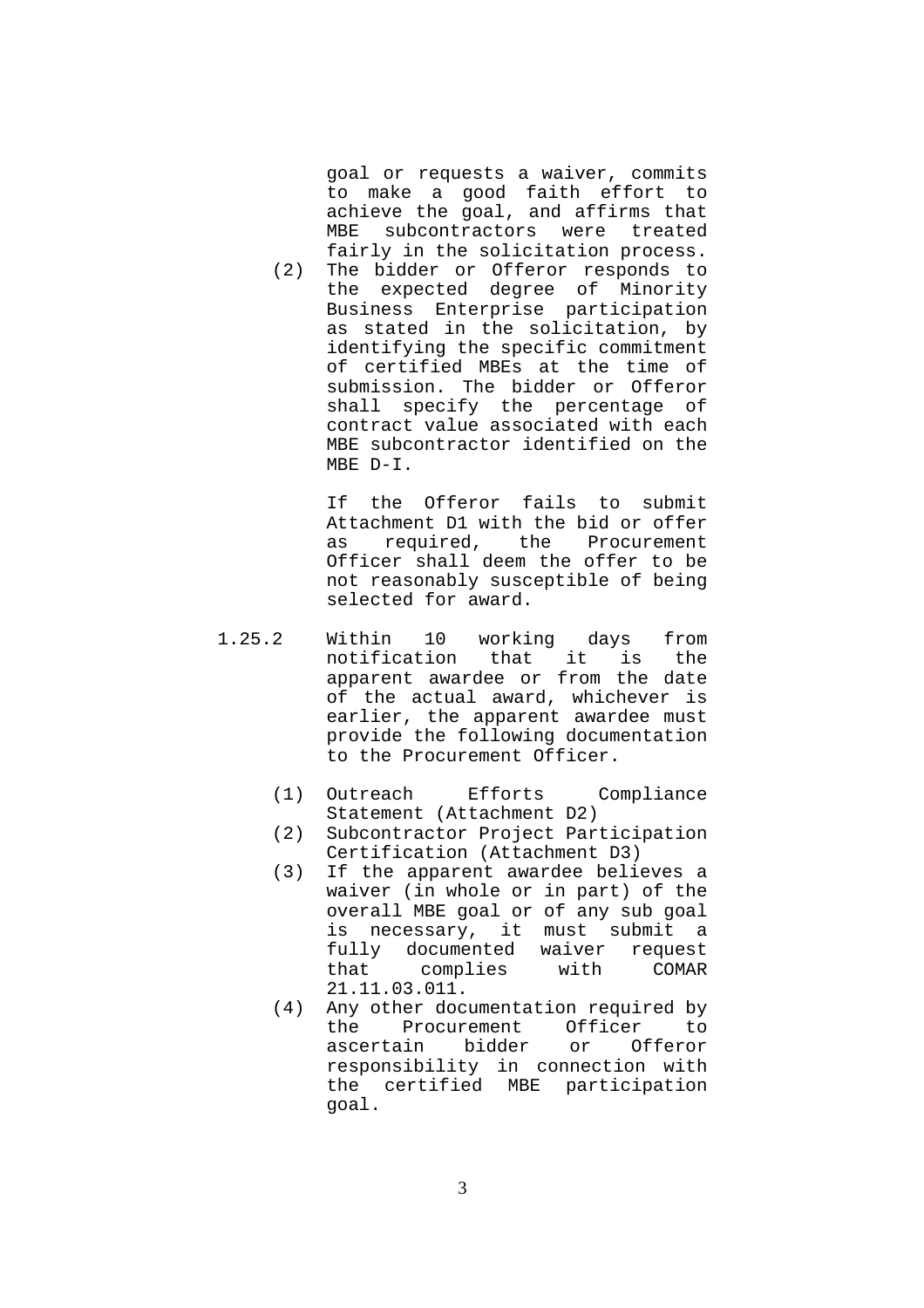goal or requests a waiver, commits to make a good faith effort to achieve the goal, and affirms that MBE subcontractors were treated fairly in the solicitation process.

(2) The bidder or Offeror responds to the expected degree of Minority Business Enterprise participation as stated in the solicitation, by identifying the specific commitment of certified MBEs at the time of submission. The bidder or Offeror shall specify the percentage of contract value associated with each MBE subcontractor identified on the MBE D-I.

> If the Offeror fails to submit Attachment D1 with the bid or offer as required, the Procurement Officer shall deem the offer to be not reasonably susceptible of being selected for award.

- 1.25.2 Within 10 working days from notification that it is the apparent awardee or from the date of the actual award, whichever is earlier, the apparent awardee must provide the following documentation to the Procurement Officer.
	- (1) Outreach Efforts Compliance Statement (Attachment D2)
	- (2) Subcontractor Project Participation Certification (Attachment D3)
	- (3) If the apparent awardee believes a waiver (in whole or in part) of the overall MBE goal or of any sub goal is necessary, it must submit a fully documented waiver request that complies with COMAR 21.11.03.011.
	- (4) Any other documentation required by the Procurement Officer to ascertain bidder or Offeror responsibility in connection with the certified MBE participation goal.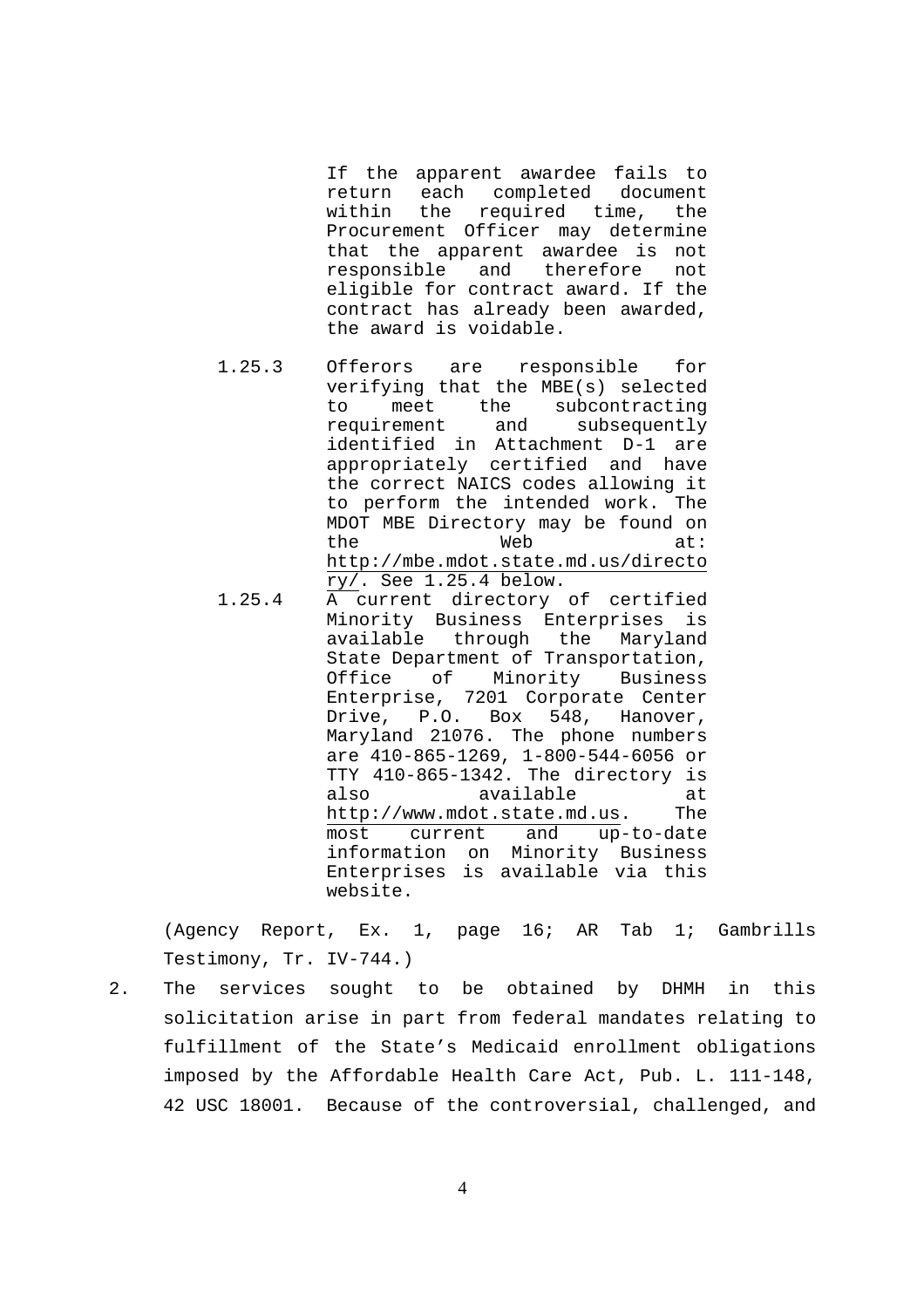If the apparent awardee fails to return each completed document within the required time, the Procurement Officer may determine that the apparent awardee is not responsible and therefore not eligible for contract award. If the contract has already been awarded, the award is voidable.

- 1.25.3 Offerors are responsible for verifying that the MBE(s) selected to meet the subcontracting requirement and subsequently identified in Attachment D-1 are appropriately certified and have the correct NAICS codes allowing it to perform the intended work. The MDOT MBE Directory may be found on the Web at: http://mbe.mdot.state.md.us/directo  $ry/$ . See  $1.25.4$  below.
- 1.25.4 A current directory of certified Minority Business Enterprises is available through the Maryland State Department of Transportation, Office of Minority Business Enterprise, 7201 Corporate Center Drive, P.O. Box 548, Hanover, Maryland 21076. The phone numbers are 410-865-1269, 1-800-544-6056 or TTY 410-865-1342. The directory is also available at http://www.mdot.state.md.us. The most current and up-to-date information on Minority Business Enterprises is available via this website.

(Agency Report, Ex. 1, page 16; AR Tab 1; Gambrills Testimony, Tr. IV-744.)

2. The services sought to be obtained by DHMH in this solicitation arise in part from federal mandates relating to fulfillment of the State's Medicaid enrollment obligations imposed by the Affordable Health Care Act, Pub. L. 111-148, 42 USC 18001. Because of the controversial, challenged, and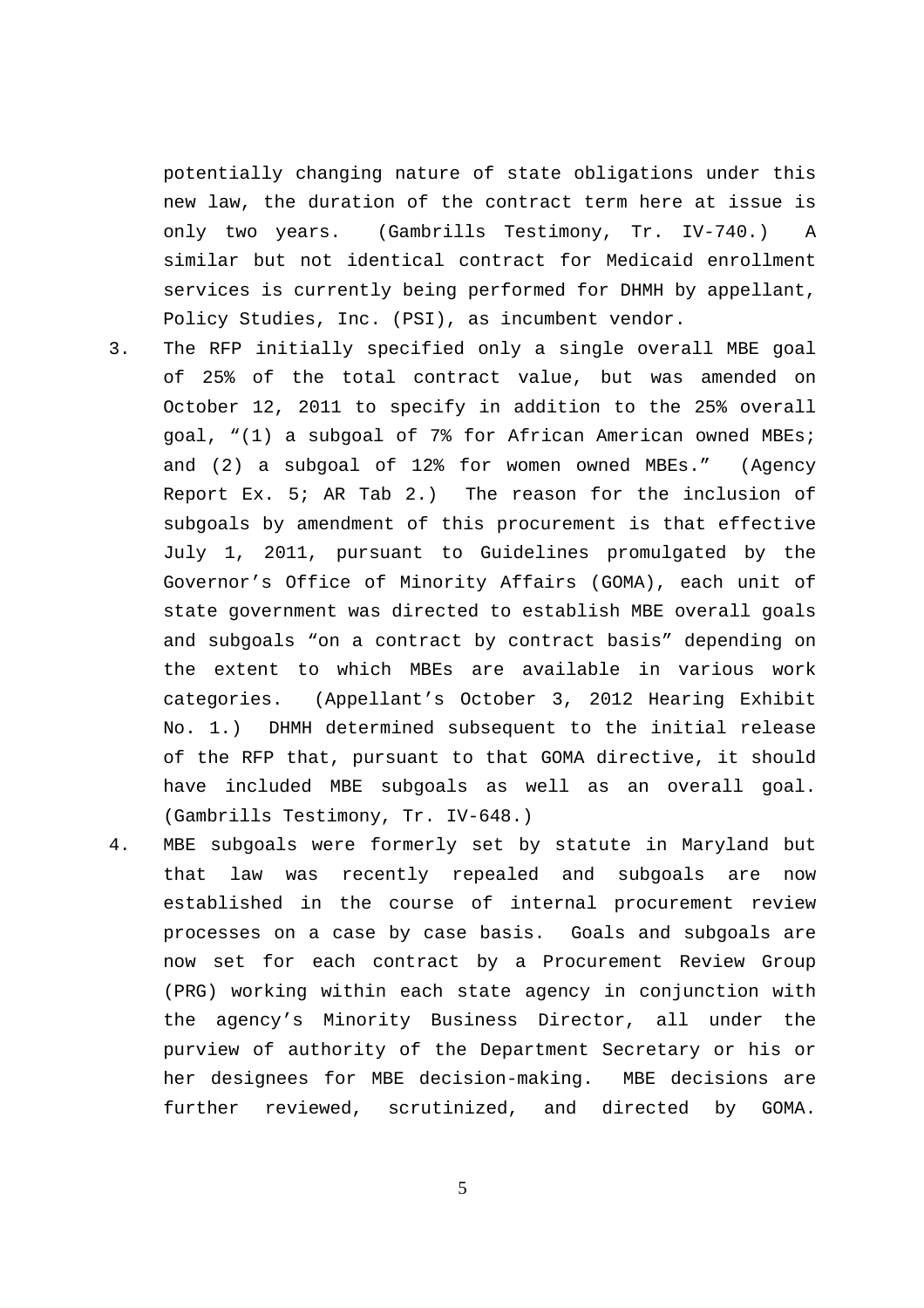potentially changing nature of state obligations under this new law, the duration of the contract term here at issue is only two years. (Gambrills Testimony, Tr. IV-740.) A similar but not identical contract for Medicaid enrollment services is currently being performed for DHMH by appellant, Policy Studies, Inc. (PSI), as incumbent vendor.

- 3. The RFP initially specified only a single overall MBE goal of 25% of the total contract value, but was amended on October 12, 2011 to specify in addition to the 25% overall goal, "(1) a subgoal of 7% for African American owned MBEs; and (2) a subgoal of 12% for women owned MBEs." (Agency Report Ex. 5; AR Tab 2.) The reason for the inclusion of subgoals by amendment of this procurement is that effective July 1, 2011, pursuant to Guidelines promulgated by the Governor's Office of Minority Affairs (GOMA), each unit of state government was directed to establish MBE overall goals and subgoals "on a contract by contract basis" depending on the extent to which MBEs are available in various work categories. (Appellant's October 3, 2012 Hearing Exhibit No. 1.) DHMH determined subsequent to the initial release of the RFP that, pursuant to that GOMA directive, it should have included MBE subgoals as well as an overall goal. (Gambrills Testimony, Tr. IV-648.)
- 4. MBE subgoals were formerly set by statute in Maryland but that law was recently repealed and subgoals are now established in the course of internal procurement review processes on a case by case basis. Goals and subgoals are now set for each contract by a Procurement Review Group (PRG) working within each state agency in conjunction with the agency's Minority Business Director, all under the purview of authority of the Department Secretary or his or her designees for MBE decision-making. MBE decisions are further reviewed, scrutinized, and directed by GOMA.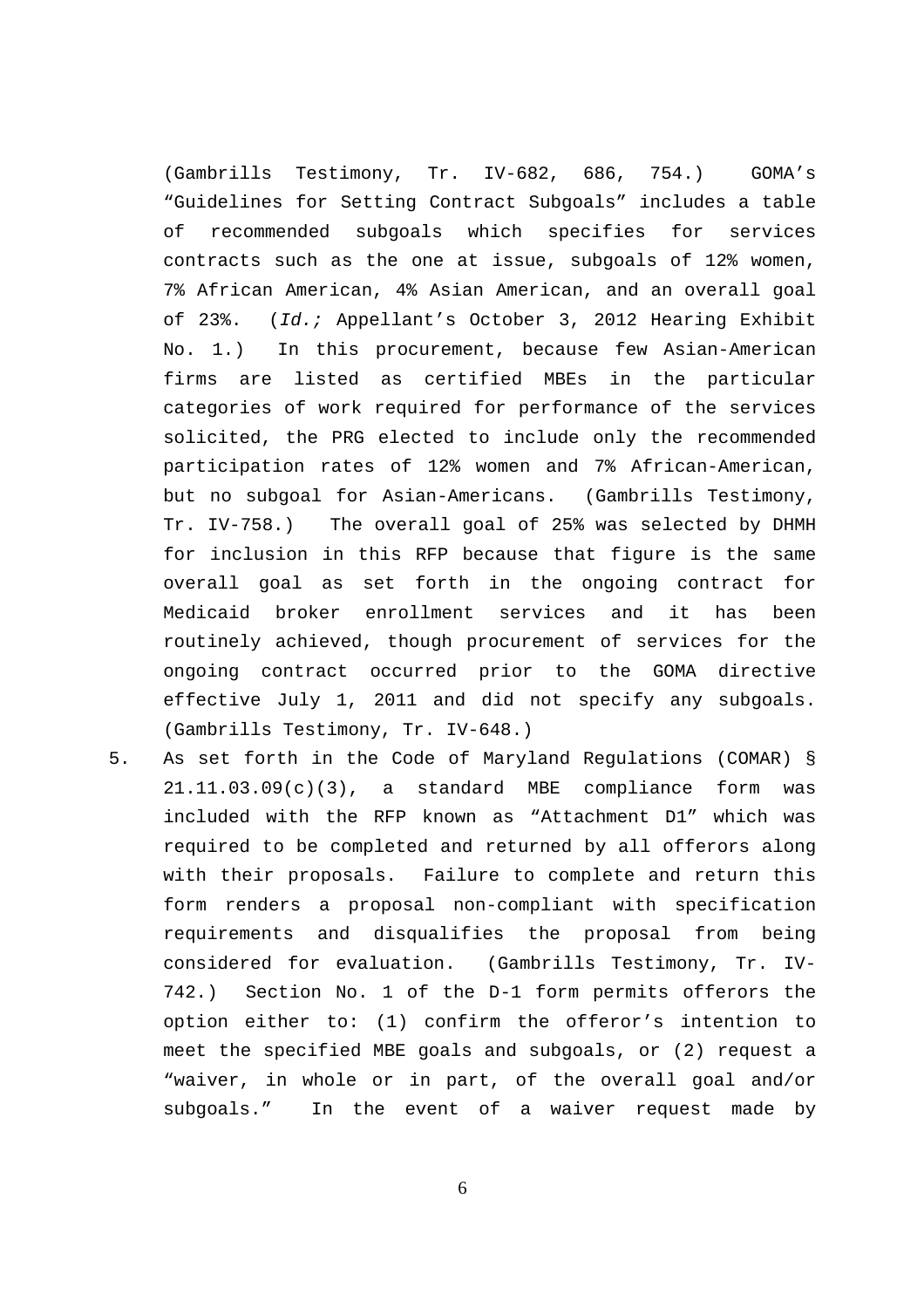(Gambrills Testimony, Tr. IV-682, 686, 754.) GOMA's "Guidelines for Setting Contract Subgoals" includes a table of recommended subgoals which specifies for services contracts such as the one at issue, subgoals of 12% women, 7% African American, 4% Asian American, and an overall goal of 23%. (Id.; Appellant's October 3, 2012 Hearing Exhibit No. 1.) In this procurement, because few Asian-American firms are listed as certified MBEs in the particular categories of work required for performance of the services solicited, the PRG elected to include only the recommended participation rates of 12% women and 7% African-American, but no subgoal for Asian-Americans. (Gambrills Testimony, Tr. IV-758.) The overall goal of 25% was selected by DHMH for inclusion in this RFP because that figure is the same overall goal as set forth in the ongoing contract for Medicaid broker enrollment services and it has been routinely achieved, though procurement of services for the ongoing contract occurred prior to the GOMA directive effective July 1, 2011 and did not specify any subgoals. (Gambrills Testimony, Tr. IV-648.)

5. As set forth in the Code of Maryland Regulations (COMAR) § 21.11.03.09(c)(3), a standard MBE compliance form was included with the RFP known as "Attachment D1" which was required to be completed and returned by all offerors along with their proposals. Failure to complete and return this form renders a proposal non-compliant with specification requirements and disqualifies the proposal from being considered for evaluation. (Gambrills Testimony, Tr. IV-742.) Section No. 1 of the D-1 form permits offerors the option either to: (1) confirm the offeror's intention to meet the specified MBE goals and subgoals, or (2) request a "waiver, in whole or in part, of the overall goal and/or subgoals." In the event of a waiver request made by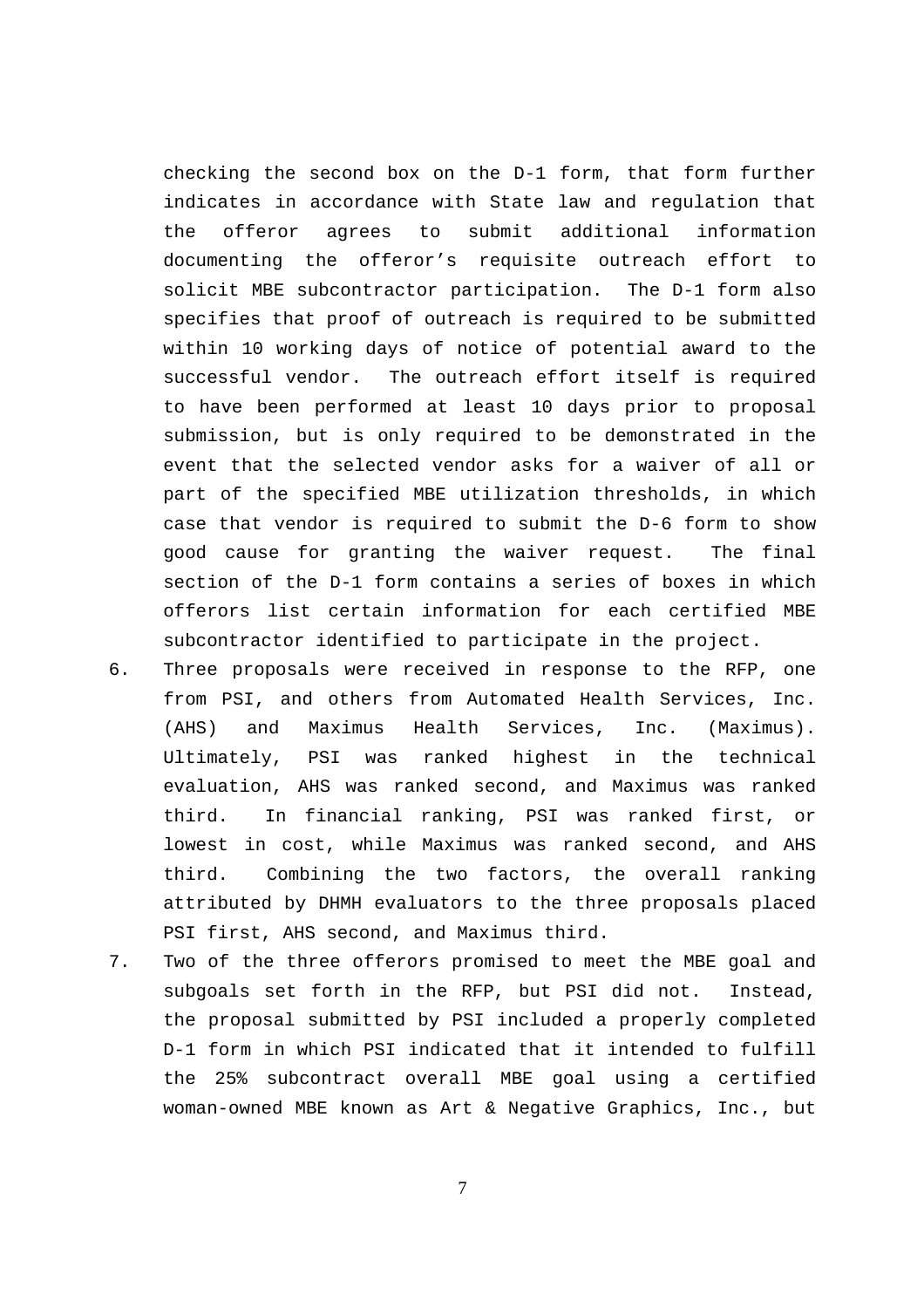checking the second box on the D-1 form, that form further indicates in accordance with State law and regulation that the offeror agrees to submit additional information documenting the offeror's requisite outreach effort to solicit MBE subcontractor participation. The D-1 form also specifies that proof of outreach is required to be submitted within 10 working days of notice of potential award to the successful vendor. The outreach effort itself is required to have been performed at least 10 days prior to proposal submission, but is only required to be demonstrated in the event that the selected vendor asks for a waiver of all or part of the specified MBE utilization thresholds, in which case that vendor is required to submit the D-6 form to show good cause for granting the waiver request. The final section of the D-1 form contains a series of boxes in which offerors list certain information for each certified MBE subcontractor identified to participate in the project.

- 6. Three proposals were received in response to the RFP, one from PSI, and others from Automated Health Services, Inc. (AHS) and Maximus Health Services, Inc. (Maximus). Ultimately, PSI was ranked highest in the technical evaluation, AHS was ranked second, and Maximus was ranked third. In financial ranking, PSI was ranked first, or lowest in cost, while Maximus was ranked second, and AHS third. Combining the two factors, the overall ranking attributed by DHMH evaluators to the three proposals placed PSI first, AHS second, and Maximus third.
- 7. Two of the three offerors promised to meet the MBE goal and subgoals set forth in the RFP, but PSI did not. Instead, the proposal submitted by PSI included a properly completed D-1 form in which PSI indicated that it intended to fulfill the 25% subcontract overall MBE goal using a certified woman-owned MBE known as Art & Negative Graphics, Inc., but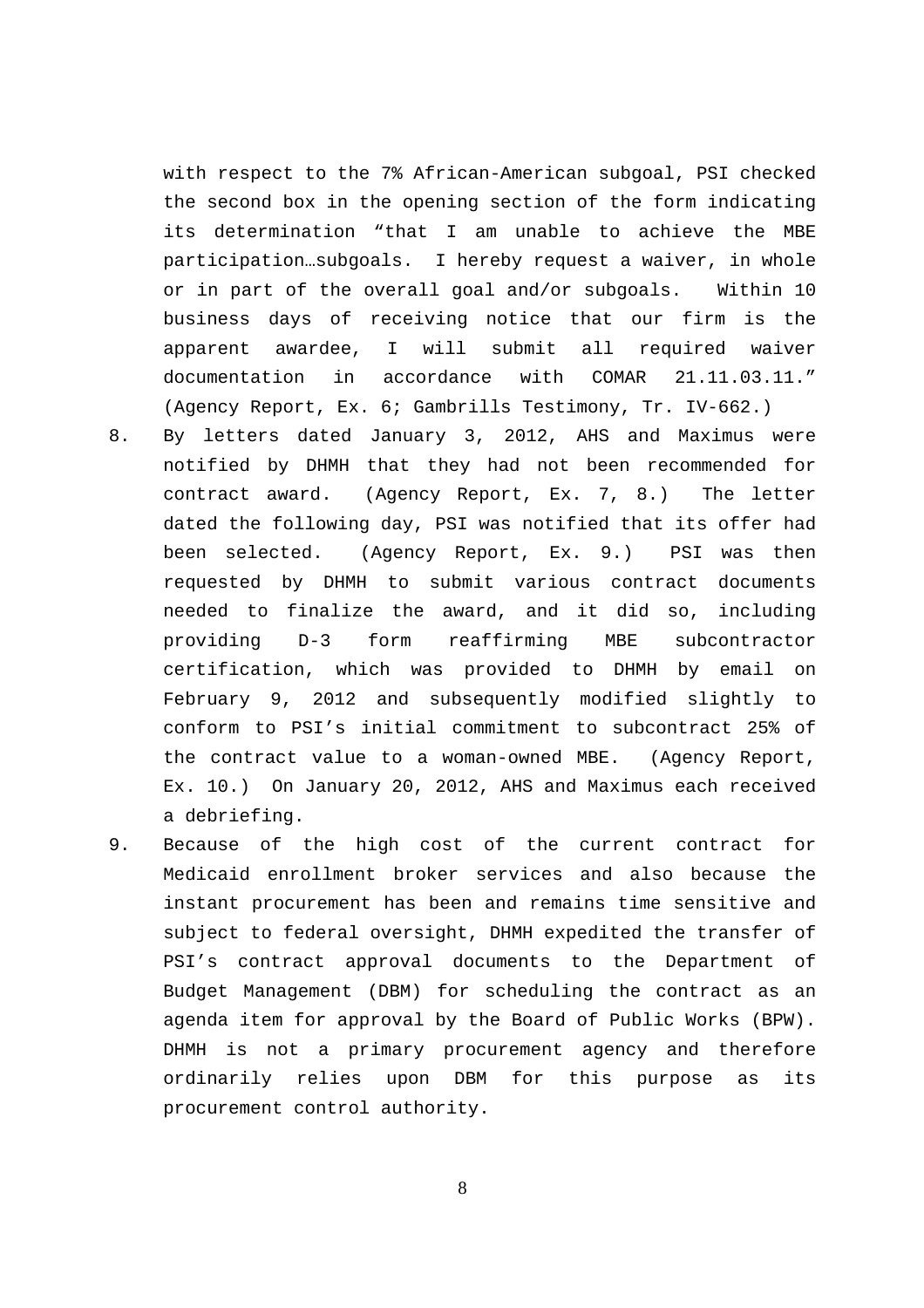with respect to the 7% African-American subgoal, PSI checked the second box in the opening section of the form indicating its determination "that I am unable to achieve the MBE participation…subgoals. I hereby request a waiver, in whole or in part of the overall goal and/or subgoals. Within 10 business days of receiving notice that our firm is the apparent awardee, I will submit all required waiver documentation in accordance with COMAR 21.11.03.11." (Agency Report, Ex. 6; Gambrills Testimony, Tr. IV-662.)

- 8. By letters dated January 3, 2012, AHS and Maximus were notified by DHMH that they had not been recommended for contract award. (Agency Report, Ex. 7, 8.) The letter dated the following day, PSI was notified that its offer had been selected. (Agency Report, Ex. 9.) PSI was then requested by DHMH to submit various contract documents needed to finalize the award, and it did so, including providing D-3 form reaffirming MBE subcontractor certification, which was provided to DHMH by email on February 9, 2012 and subsequently modified slightly to conform to PSI's initial commitment to subcontract 25% of the contract value to a woman-owned MBE. (Agency Report, Ex. 10.) On January 20, 2012, AHS and Maximus each received a debriefing.
- 9. Because of the high cost of the current contract for Medicaid enrollment broker services and also because the instant procurement has been and remains time sensitive and subject to federal oversight, DHMH expedited the transfer of PSI's contract approval documents to the Department of Budget Management (DBM) for scheduling the contract as an agenda item for approval by the Board of Public Works (BPW). DHMH is not a primary procurement agency and therefore ordinarily relies upon DBM for this purpose as its procurement control authority.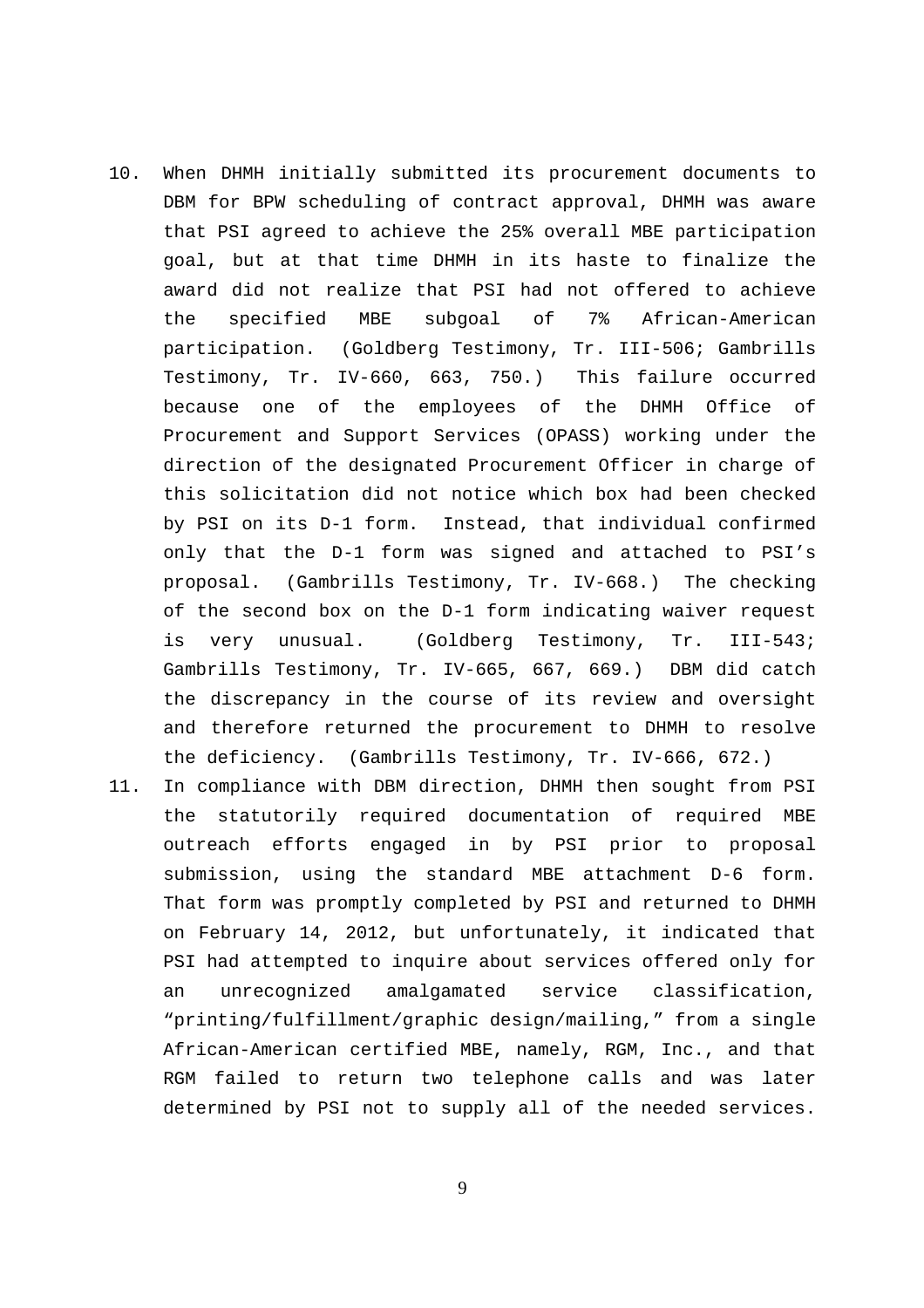- 10. When DHMH initially submitted its procurement documents to DBM for BPW scheduling of contract approval, DHMH was aware that PSI agreed to achieve the 25% overall MBE participation goal, but at that time DHMH in its haste to finalize the award did not realize that PSI had not offered to achieve the specified MBE subgoal of 7% African-American participation. (Goldberg Testimony, Tr. III-506; Gambrills Testimony, Tr. IV-660, 663, 750.) This failure occurred because one of the employees of the DHMH Office of Procurement and Support Services (OPASS) working under the direction of the designated Procurement Officer in charge of this solicitation did not notice which box had been checked by PSI on its D-1 form. Instead, that individual confirmed only that the D-1 form was signed and attached to PSI's proposal. (Gambrills Testimony, Tr. IV-668.) The checking of the second box on the D-1 form indicating waiver request is very unusual. (Goldberg Testimony, Tr. III-543; Gambrills Testimony, Tr. IV-665, 667, 669.) DBM did catch the discrepancy in the course of its review and oversight and therefore returned the procurement to DHMH to resolve the deficiency. (Gambrills Testimony, Tr. IV-666, 672.)
- 11. In compliance with DBM direction, DHMH then sought from PSI the statutorily required documentation of required MBE outreach efforts engaged in by PSI prior to proposal submission, using the standard MBE attachment D-6 form. That form was promptly completed by PSI and returned to DHMH on February 14, 2012, but unfortunately, it indicated that PSI had attempted to inquire about services offered only for an unrecognized amalgamated service classification, "printing/fulfillment/graphic design/mailing," from a single African-American certified MBE, namely, RGM, Inc., and that RGM failed to return two telephone calls and was later determined by PSI not to supply all of the needed services.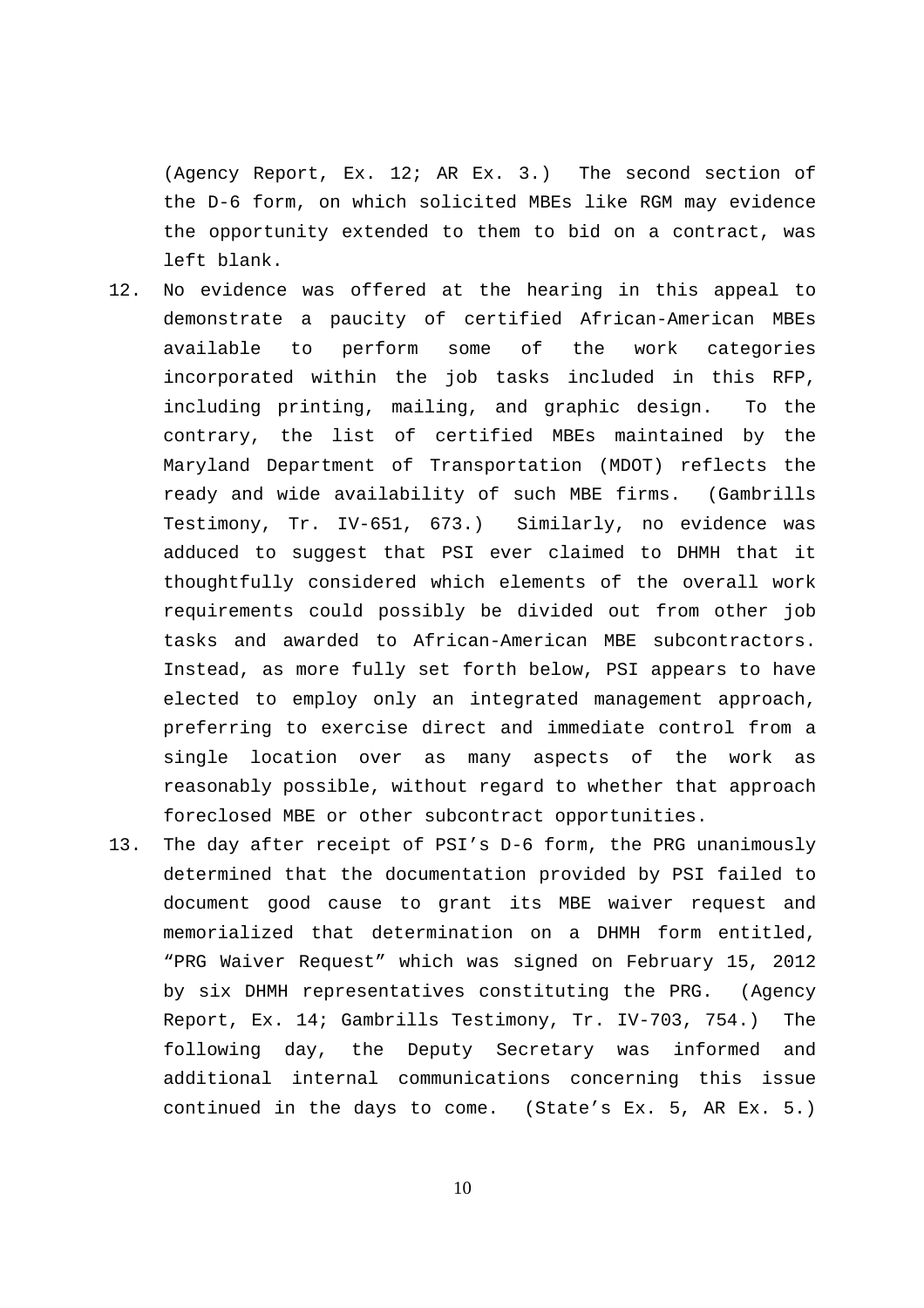(Agency Report, Ex. 12; AR Ex. 3.) The second section of the D-6 form, on which solicited MBEs like RGM may evidence the opportunity extended to them to bid on a contract, was left blank.

- 12. No evidence was offered at the hearing in this appeal to demonstrate a paucity of certified African-American MBEs available to perform some of the work categories incorporated within the job tasks included in this RFP, including printing, mailing, and graphic design. To the contrary, the list of certified MBEs maintained by the Maryland Department of Transportation (MDOT) reflects the ready and wide availability of such MBE firms. (Gambrills Testimony, Tr. IV-651, 673.) Similarly, no evidence was adduced to suggest that PSI ever claimed to DHMH that it thoughtfully considered which elements of the overall work requirements could possibly be divided out from other job tasks and awarded to African-American MBE subcontractors. Instead, as more fully set forth below, PSI appears to have elected to employ only an integrated management approach, preferring to exercise direct and immediate control from a single location over as many aspects of the work as reasonably possible, without regard to whether that approach foreclosed MBE or other subcontract opportunities.
- 13. The day after receipt of PSI's D-6 form, the PRG unanimously determined that the documentation provided by PSI failed to document good cause to grant its MBE waiver request and memorialized that determination on a DHMH form entitled, "PRG Waiver Request" which was signed on February 15, 2012 by six DHMH representatives constituting the PRG. (Agency Report, Ex. 14; Gambrills Testimony, Tr. IV-703, 754.) The following day, the Deputy Secretary was informed and additional internal communications concerning this issue continued in the days to come. (State's Ex. 5, AR Ex. 5.)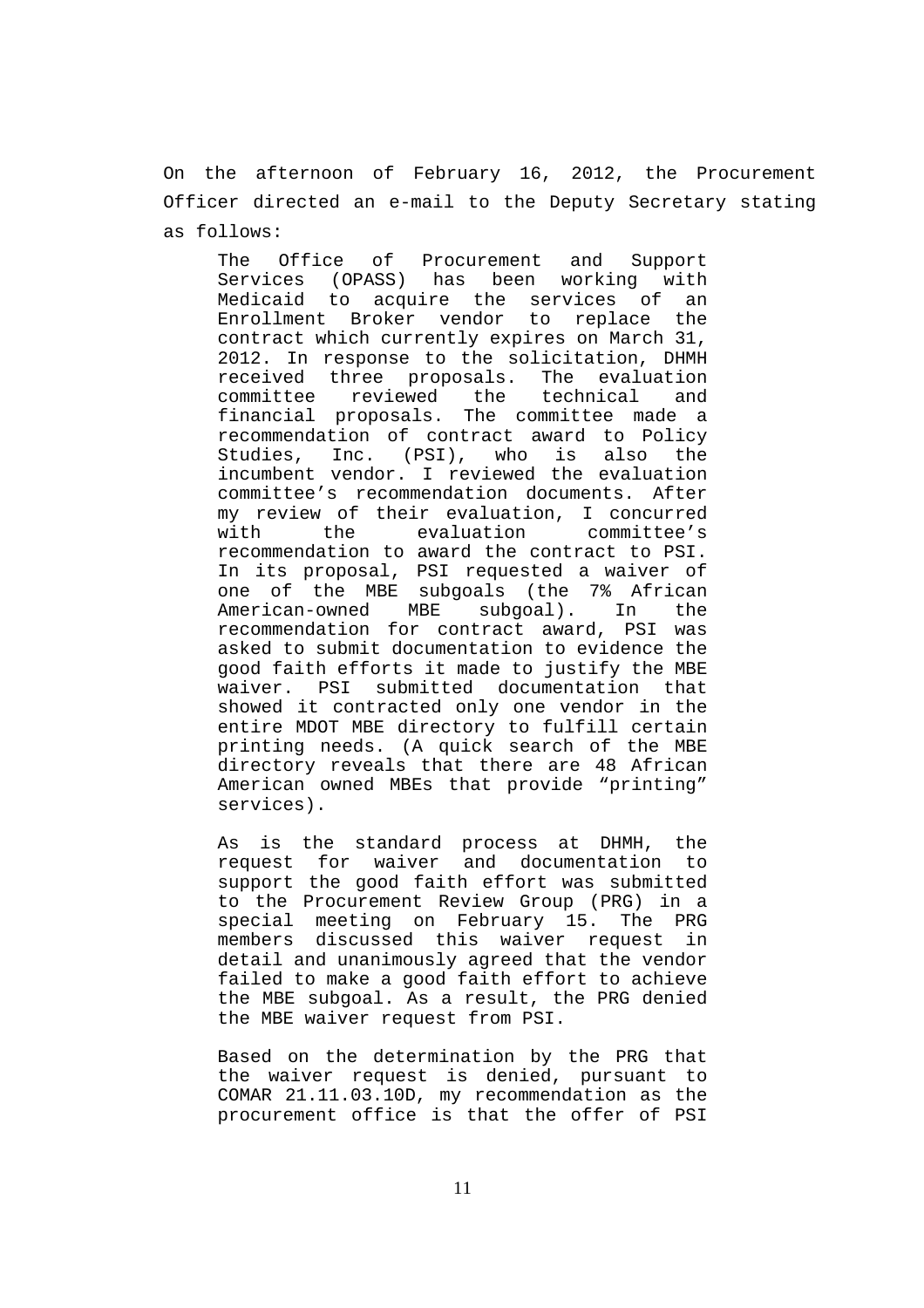On the afternoon of February 16, 2012, the Procurement Officer directed an e-mail to the Deputy Secretary stating as follows:

The Office of Procurement and Support Services (OPASS) has been working with Medicaid to acquire the services of an Enrollment Broker vendor to replace the contract which currently expires on March 31, 2012. In response to the solicitation, DHMH received three proposals. The evaluation committee reviewed the technical and financial proposals. The committee made a recommendation of contract award to Policy Studies, Inc. (PSI), who is also the incumbent vendor. I reviewed the evaluation committee's recommendation documents. After my review of their evaluation, I concurred with the evaluation committee's recommendation to award the contract to PSI. In its proposal, PSI requested a waiver of one of the MBE subgoals (the 7% African American-owned MBE subgoal). In the recommendation for contract award, PSI was asked to submit documentation to evidence the good faith efforts it made to justify the MBE waiver. PSI submitted documentation that showed it contracted only one vendor in the entire MDOT MBE directory to fulfill certain printing needs. (A quick search of the MBE directory reveals that there are 48 African American owned MBEs that provide "printing" services).

As is the standard process at DHMH, the request for waiver and documentation to support the good faith effort was submitted to the Procurement Review Group (PRG) in a special meeting on February 15. The PRG members discussed this waiver request in detail and unanimously agreed that the vendor failed to make a good faith effort to achieve the MBE subgoal. As a result, the PRG denied the MBE waiver request from PSI.

Based on the determination by the PRG that the waiver request is denied, pursuant to COMAR 21.11.03.10D, my recommendation as the procurement office is that the offer of PSI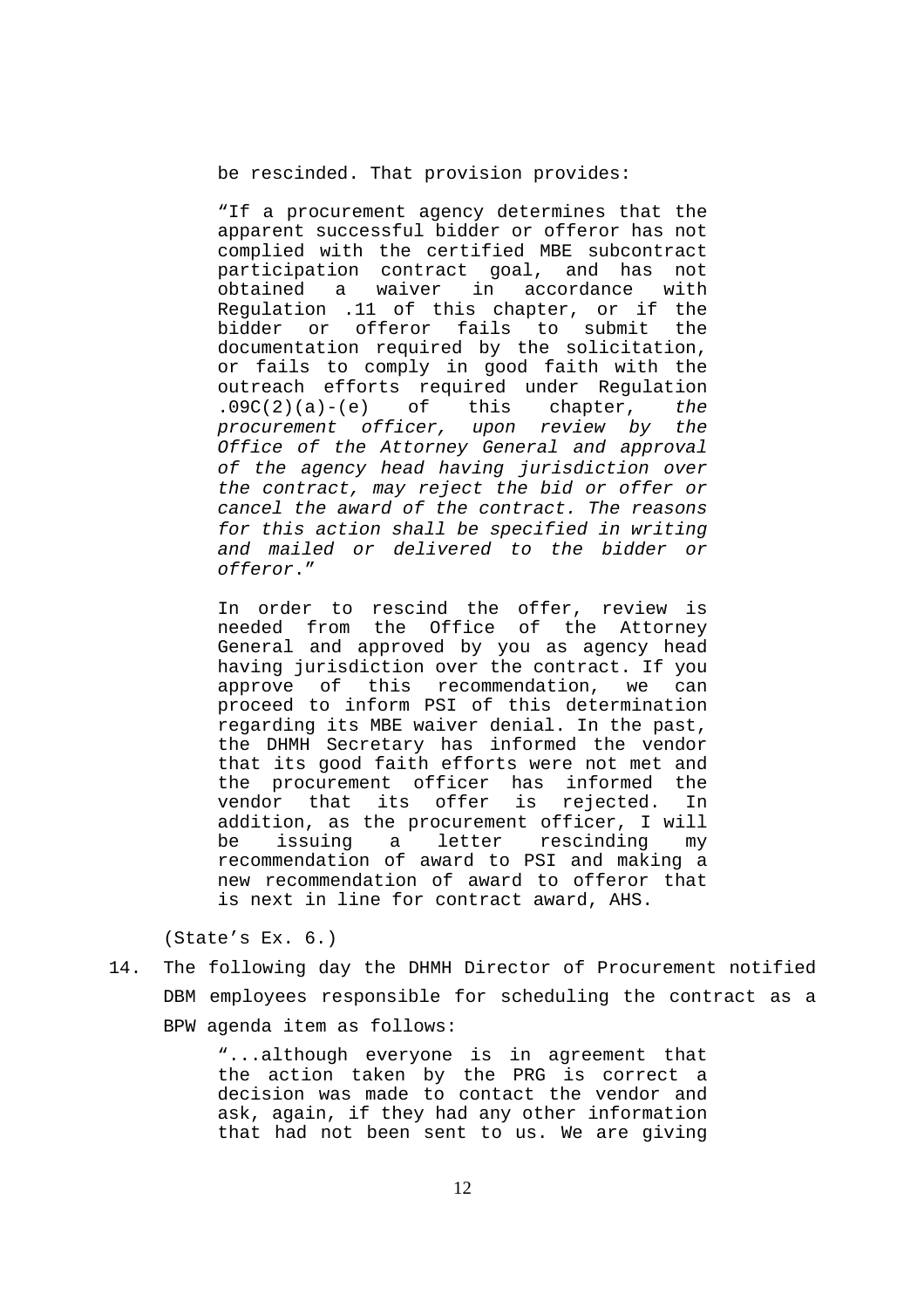be rescinded. That provision provides:

"If a procurement agency determines that the apparent successful bidder or offeror has not complied with the certified MBE subcontract participation contract goal, and has not obtained a waiver in accordance with Regulation .11 of this chapter, or if the bidder or offeror fails to submit the documentation required by the solicitation, or fails to comply in good faith with the outreach efforts required under Regulation  $.09C(2)(a)-(e)$  of this chapter, the procurement officer, upon review by the Office of the Attorney General and approval of the agency head having jurisdiction over the contract, may reject the bid or offer or cancel the award of the contract. The reasons for this action shall be specified in writing and mailed or delivered to the bidder or offeror."

In order to rescind the offer, review is needed from the Office of the Attorney General and approved by you as agency head having jurisdiction over the contract. If you approve of this recommendation, we can proceed to inform PSI of this determination regarding its MBE waiver denial. In the past, the DHMH Secretary has informed the vendor that its good faith efforts were not met and the procurement officer has informed the vendor that its offer is rejected. In addition, as the procurement officer, I will be issuing a letter rescinding my recommendation of award to PSI and making a new recommendation of award to offeror that is next in line for contract award, AHS.

(State's Ex. 6.)

14. The following day the DHMH Director of Procurement notified DBM employees responsible for scheduling the contract as a BPW agenda item as follows:

> "...although everyone is in agreement that the action taken by the PRG is correct a decision was made to contact the vendor and ask, again, if they had any other information that had not been sent to us. We are giving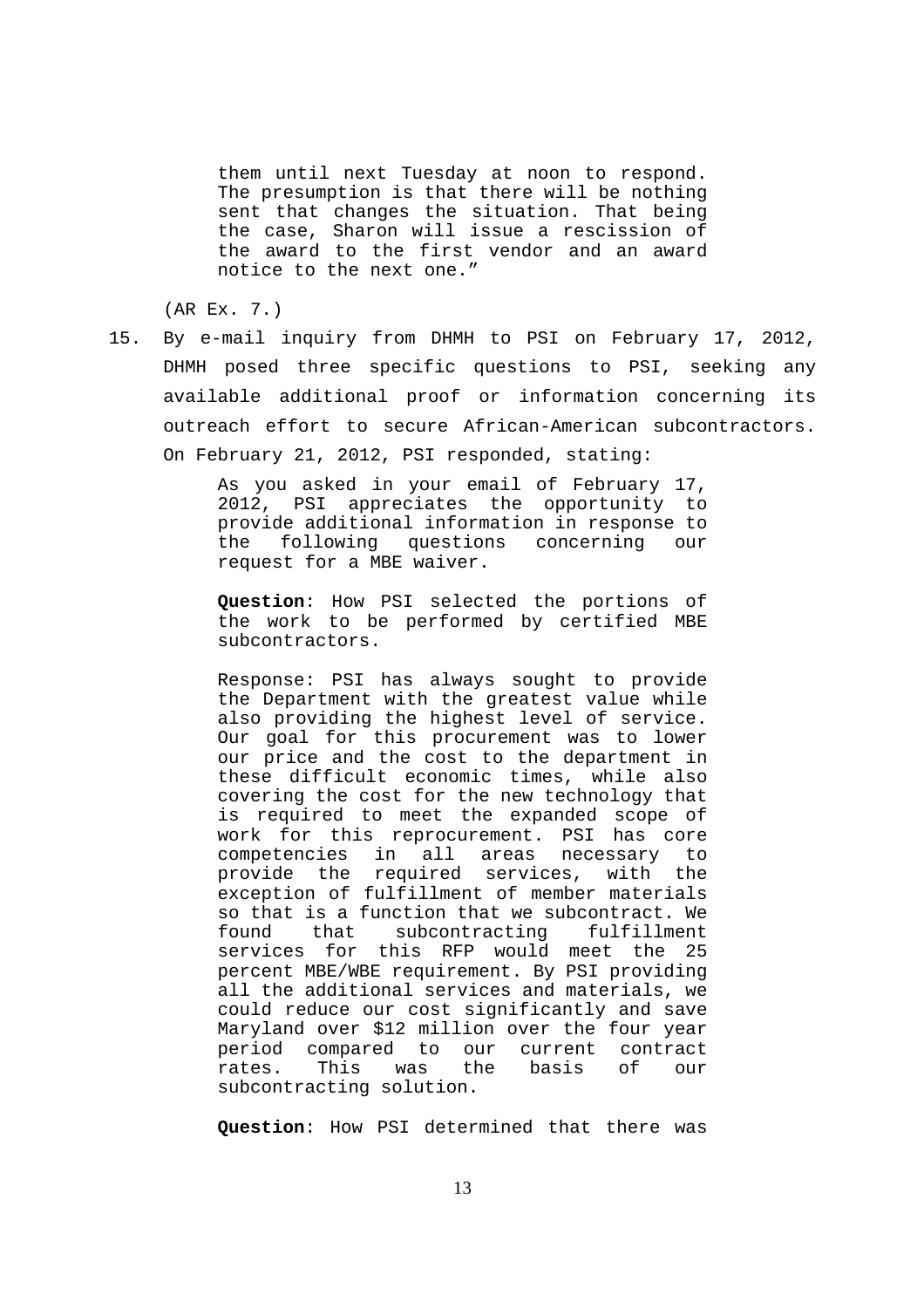them until next Tuesday at noon to respond. The presumption is that there will be nothing sent that changes the situation. That being the case, Sharon will issue a rescission of the award to the first vendor and an award notice to the next one."

(AR Ex. 7.)

15. By e-mail inquiry from DHMH to PSI on February 17, 2012, DHMH posed three specific questions to PSI, seeking any available additional proof or information concerning its outreach effort to secure African-American subcontractors. On February 21, 2012, PSI responded, stating:

> As you asked in your email of February 17, 2012, PSI appreciates the opportunity to provide additional information in response to the following questions concerning our request for a MBE waiver.

> **Question**: How PSI selected the portions of the work to be performed by certified MBE subcontractors.

> Response: PSI has always sought to provide the Department with the greatest value while also providing the highest level of service. Our goal for this procurement was to lower our price and the cost to the department in these difficult economic times, while also covering the cost for the new technology that is required to meet the expanded scope of work for this reprocurement. PSI has core competencies in all areas necessary to provide the required services, with the exception of fulfillment of member materials so that is a function that we subcontract. We found that subcontracting fulfillment services for this RFP would meet the 25 percent MBE/WBE requirement. By PSI providing all the additional services and materials, we could reduce our cost significantly and save Maryland over \$12 million over the four year period compared to our current contract rates. This was the basis of our subcontracting solution.

**Question**: How PSI determined that there was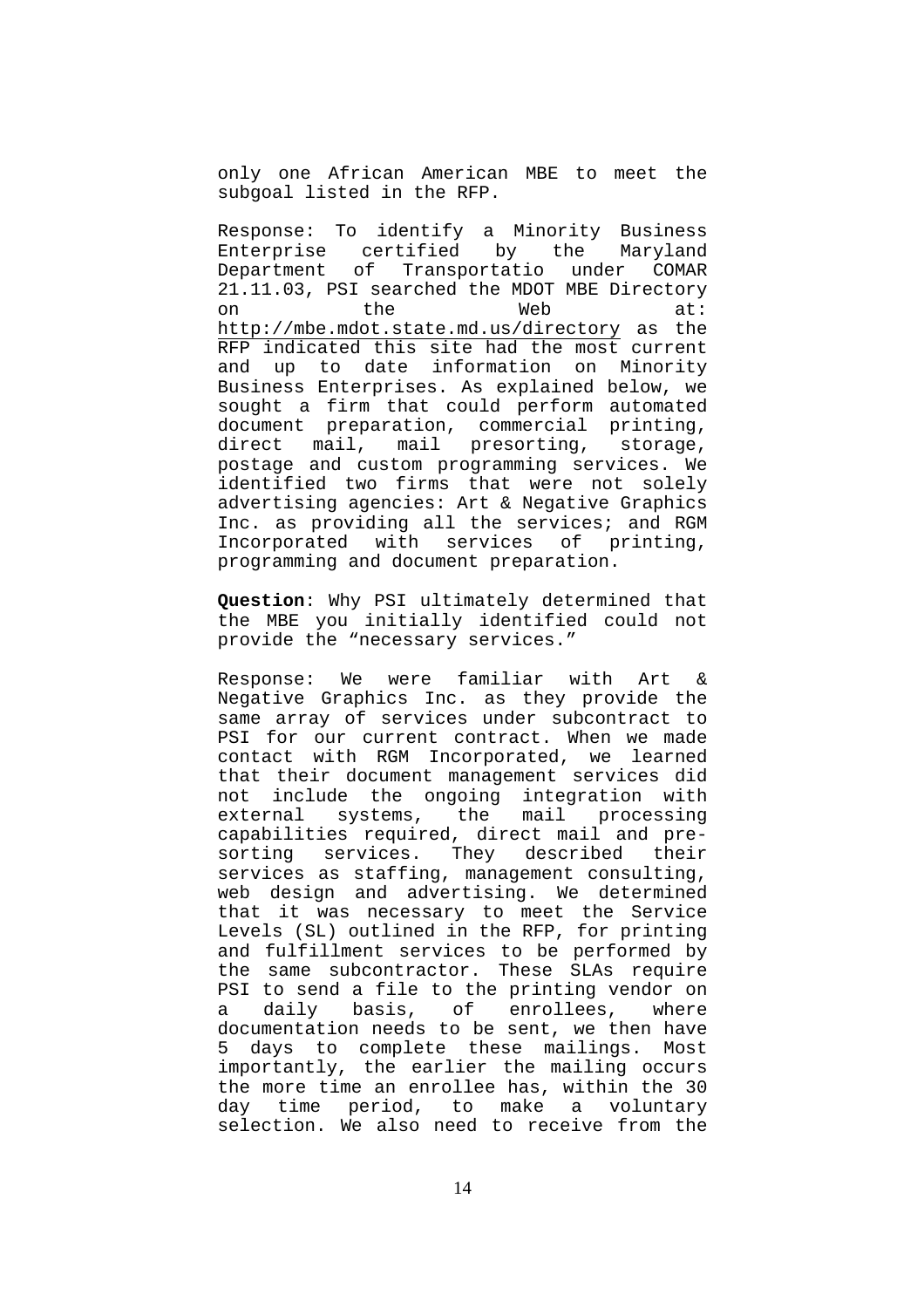only one African American MBE to meet the subgoal listed in the RFP.

Response: To identify a Minority Business Enterprise certified by the Maryland Department of Transportatio under COMAR 21.11.03, PSI searched the MDOT MBE Directory on the Web at: http://mbe.mdot.state.md.us/directory as the RFP indicated this site had the most current and up to date information on Minority Business Enterprises. As explained below, we sought a firm that could perform automated document preparation, commercial printing, direct mail, mail presorting, storage, postage and custom programming services. We identified two firms that were not solely advertising agencies: Art & Negative Graphics Inc. as providing all the services; and RGM Incorporated with services of printing, programming and document preparation.

**Question**: Why PSI ultimately determined that the MBE you initially identified could not provide the "necessary services."

Response: We were familiar with Art & Negative Graphics Inc. as they provide the same array of services under subcontract to PSI for our current contract. When we made contact with RGM Incorporated, we learned that their document management services did not include the ongoing integration with external systems, the mail processing capabilities required, direct mail and presorting services. They described their services as staffing, management consulting, web design and advertising. We determined that it was necessary to meet the Service Levels (SL) outlined in the RFP, for printing and fulfillment services to be performed by the same subcontractor. These SLAs require PSI to send a file to the printing vendor on a daily basis, of enrollees, where documentation needs to be sent, we then have 5 days to complete these mailings. Most importantly, the earlier the mailing occurs the more time an enrollee has, within the 30 day time period, to make a voluntary selection. We also need to receive from the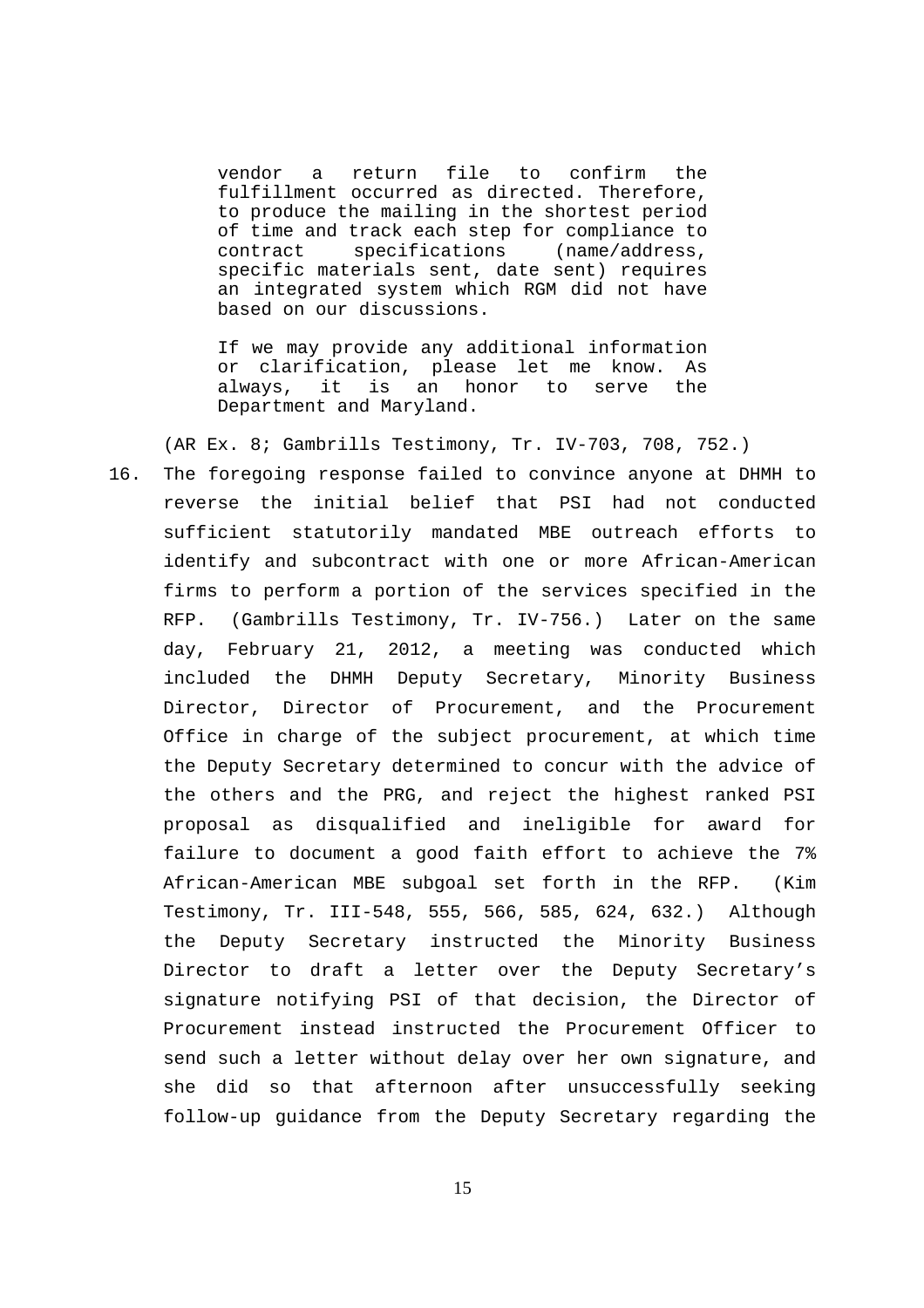vendor a return file to confirm the fulfillment occurred as directed. Therefore, to produce the mailing in the shortest period of time and track each step for compliance to contract specifications (name/address, specific materials sent, date sent) requires an integrated system which RGM did not have based on our discussions.

If we may provide any additional information or clarification, please let me know. As always, it is an honor to serve the Department and Maryland.

(AR Ex. 8; Gambrills Testimony, Tr. IV-703, 708, 752.)

16. The foregoing response failed to convince anyone at DHMH to reverse the initial belief that PSI had not conducted sufficient statutorily mandated MBE outreach efforts to identify and subcontract with one or more African-American firms to perform a portion of the services specified in the RFP. (Gambrills Testimony, Tr. IV-756.) Later on the same day, February 21, 2012, a meeting was conducted which included the DHMH Deputy Secretary, Minority Business Director, Director of Procurement, and the Procurement Office in charge of the subject procurement, at which time the Deputy Secretary determined to concur with the advice of the others and the PRG, and reject the highest ranked PSI proposal as disqualified and ineligible for award for failure to document a good faith effort to achieve the 7% African-American MBE subgoal set forth in the RFP. (Kim Testimony, Tr. III-548, 555, 566, 585, 624, 632.) Although the Deputy Secretary instructed the Minority Business Director to draft a letter over the Deputy Secretary's signature notifying PSI of that decision, the Director of Procurement instead instructed the Procurement Officer to send such a letter without delay over her own signature, and she did so that afternoon after unsuccessfully seeking follow-up guidance from the Deputy Secretary regarding the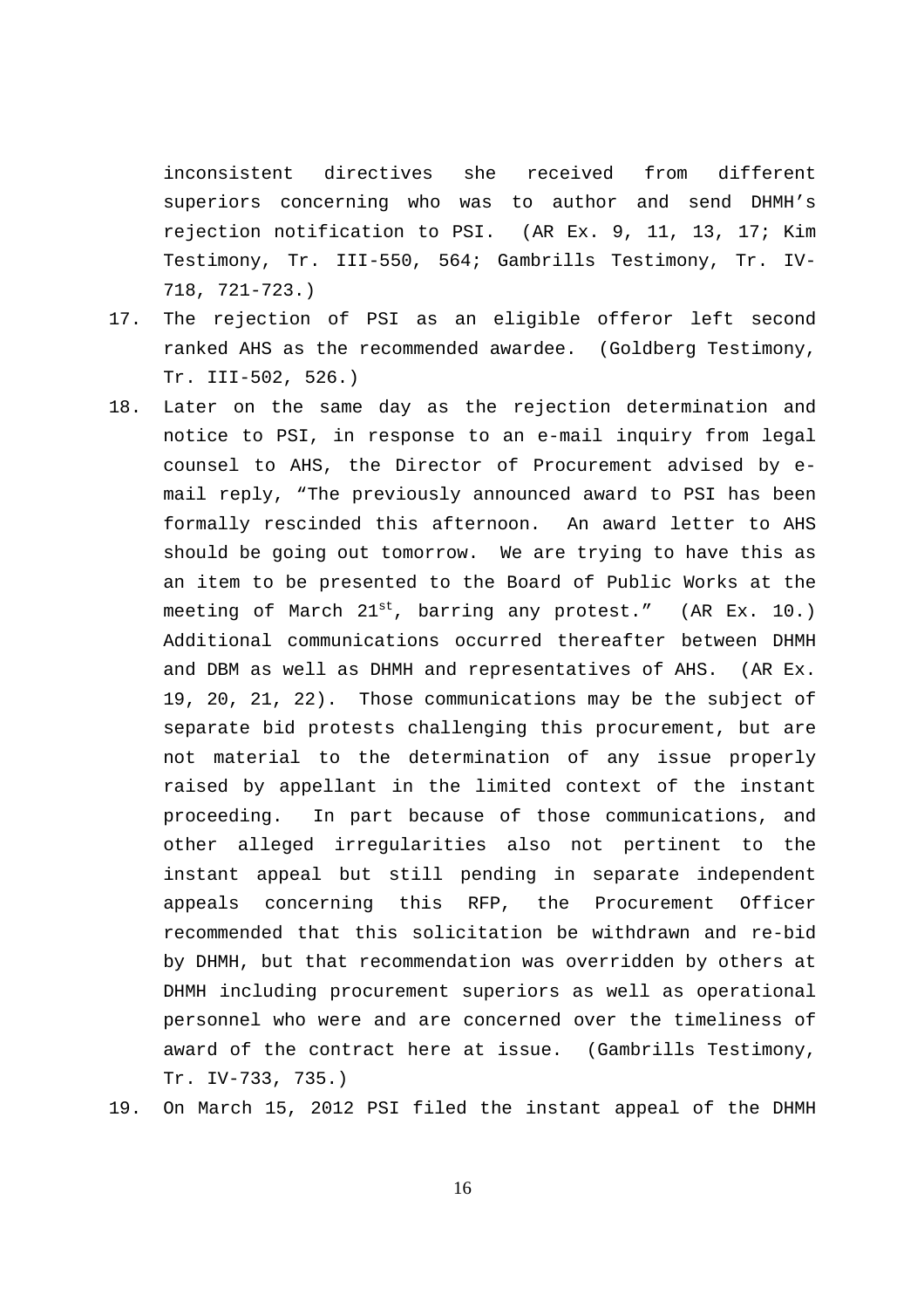inconsistent directives she received from different superiors concerning who was to author and send DHMH's rejection notification to PSI. (AR Ex. 9, 11, 13, 17; Kim Testimony, Tr. III-550, 564; Gambrills Testimony, Tr. IV-718, 721-723.)

- 17. The rejection of PSI as an eligible offeror left second ranked AHS as the recommended awardee. (Goldberg Testimony, Tr. III-502, 526.)
- 18. Later on the same day as the rejection determination and notice to PSI, in response to an e-mail inquiry from legal counsel to AHS, the Director of Procurement advised by email reply, "The previously announced award to PSI has been formally rescinded this afternoon. An award letter to AHS should be going out tomorrow. We are trying to have this as an item to be presented to the Board of Public Works at the meeting of March  $21^{st}$ , barring any protest." (AR Ex. 10.) Additional communications occurred thereafter between DHMH and DBM as well as DHMH and representatives of AHS. (AR Ex. 19, 20, 21, 22). Those communications may be the subject of separate bid protests challenging this procurement, but are not material to the determination of any issue properly raised by appellant in the limited context of the instant proceeding. In part because of those communications, and other alleged irregularities also not pertinent to the instant appeal but still pending in separate independent appeals concerning this RFP, the Procurement Officer recommended that this solicitation be withdrawn and re-bid by DHMH, but that recommendation was overridden by others at DHMH including procurement superiors as well as operational personnel who were and are concerned over the timeliness of award of the contract here at issue. (Gambrills Testimony, Tr. IV-733, 735.)
- 19. On March 15, 2012 PSI filed the instant appeal of the DHMH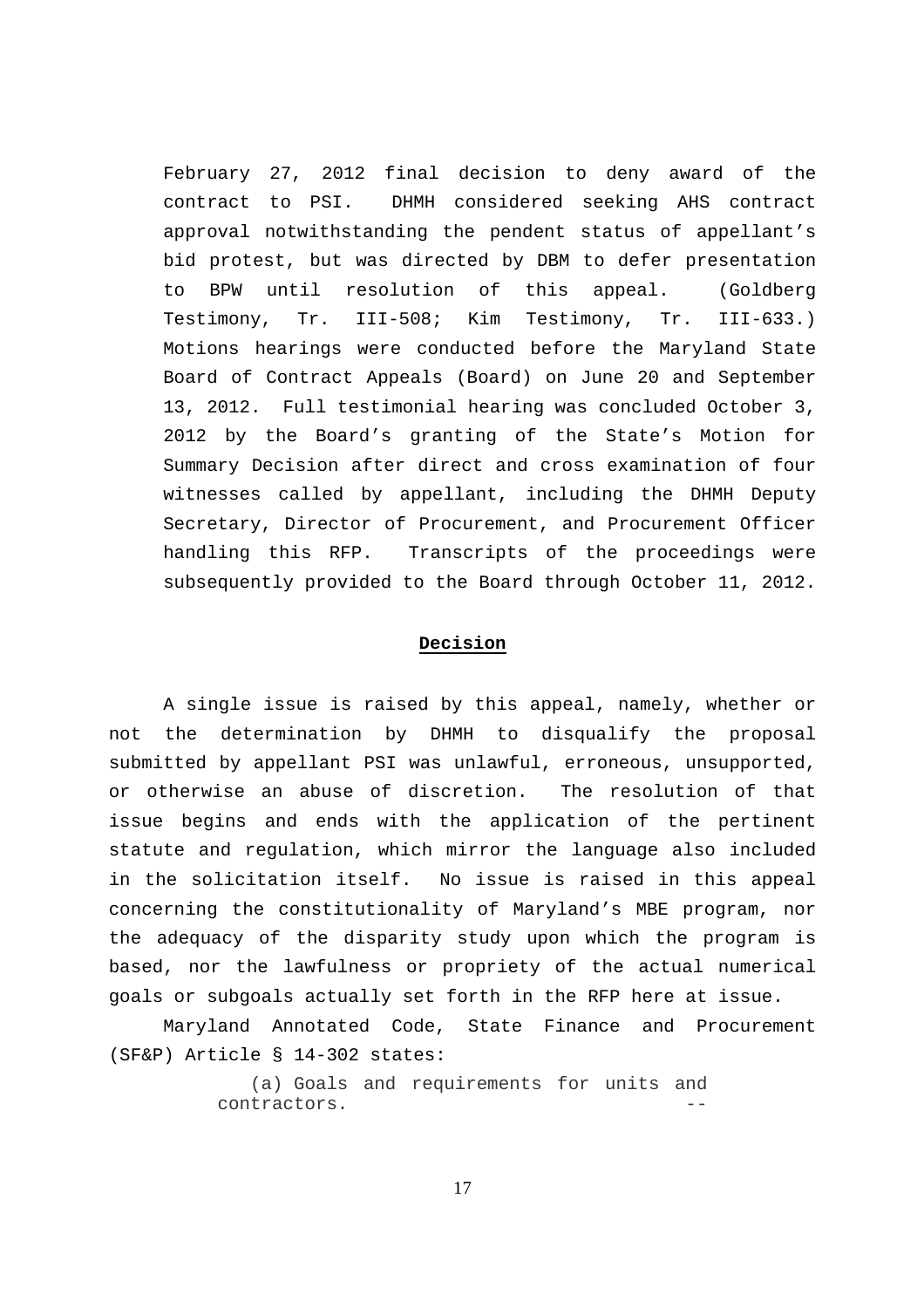February 27, 2012 final decision to deny award of the contract to PSI. DHMH considered seeking AHS contract approval notwithstanding the pendent status of appellant's bid protest, but was directed by DBM to defer presentation to BPW until resolution of this appeal. (Goldberg Testimony, Tr. III-508; Kim Testimony, Tr. III-633.) Motions hearings were conducted before the Maryland State Board of Contract Appeals (Board) on June 20 and September 13, 2012. Full testimonial hearing was concluded October 3, 2012 by the Board's granting of the State's Motion for Summary Decision after direct and cross examination of four witnesses called by appellant, including the DHMH Deputy Secretary, Director of Procurement, and Procurement Officer handling this RFP. Transcripts of the proceedings were subsequently provided to the Board through October 11, 2012.

### **Decision**

A single issue is raised by this appeal, namely, whether or not the determination by DHMH to disqualify the proposal submitted by appellant PSI was unlawful, erroneous, unsupported, or otherwise an abuse of discretion. The resolution of that issue begins and ends with the application of the pertinent statute and regulation, which mirror the language also included in the solicitation itself. No issue is raised in this appeal concerning the constitutionality of Maryland's MBE program, nor the adequacy of the disparity study upon which the program is based, nor the lawfulness or propriety of the actual numerical goals or subgoals actually set forth in the RFP here at issue.

Maryland Annotated Code, State Finance and Procurement (SF&P) Article § 14-302 states:

> (a) Goals and requirements for units and contractors.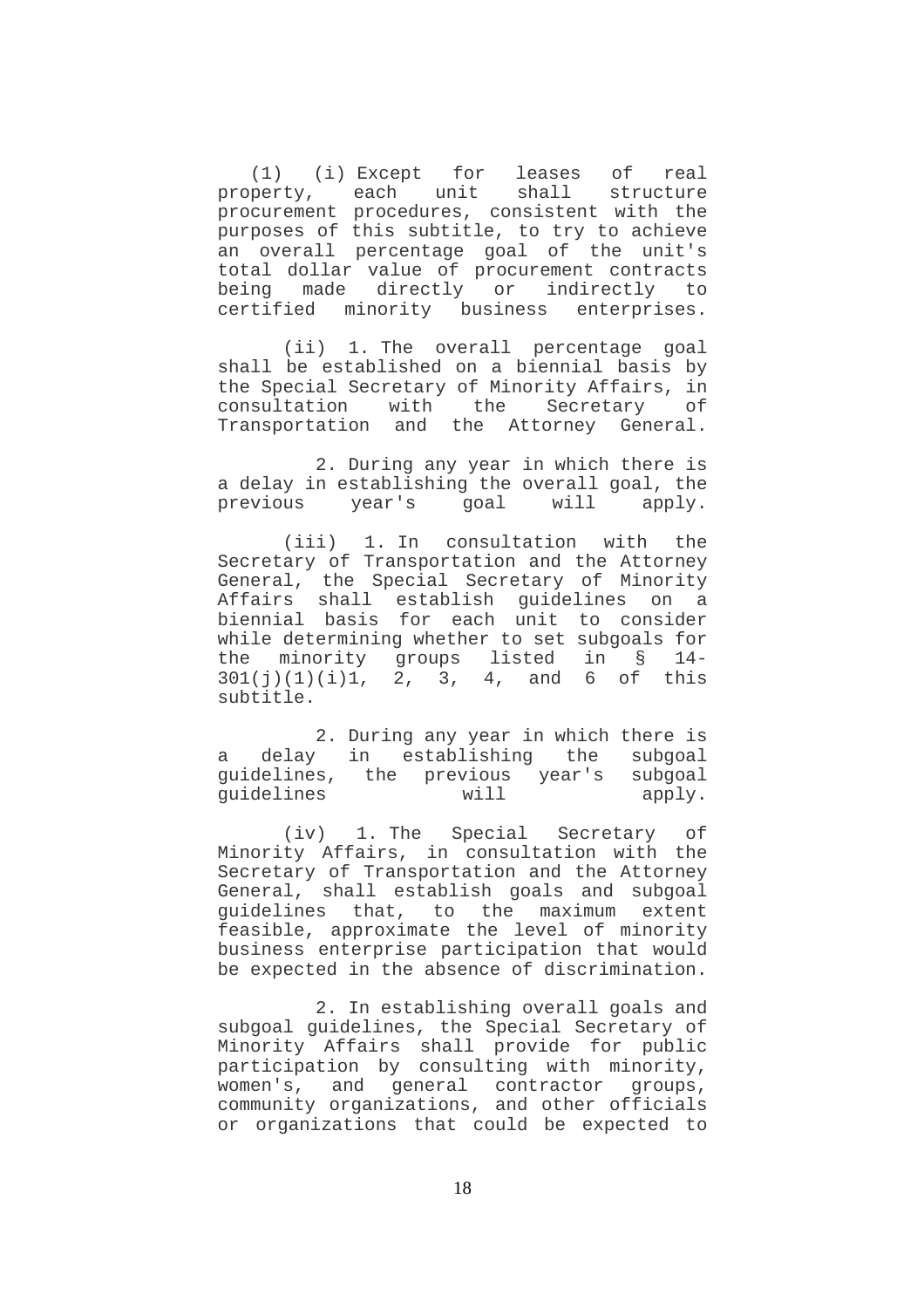(1) (i) Except for leases of real property, each unit shall structure procurement procedures, consistent with the purposes of this subtitle, to try to achieve an overall percentage goal of the unit's total dollar value of procurement contracts being made directly or indirectly to certified minority business enterprises.

 (ii) 1. The overall percentage goal shall be established on a biennial basis by the Special Secretary of Minority Affairs, in consultation with the Secretary of Transportation and the Attorney General.

 2. During any year in which there is a delay in establishing the overall goal, the previous year's goal will apply.

 (iii) 1. In consultation with the Secretary of Transportation and the Attorney General, the Special Secretary of Minority Affairs shall establish guidelines on a biennial basis for each unit to consider while determining whether to set subgoals for the minority groups listed in § 14-  $301(j)(1)(i)1, 2, 3, 4,$  and 6 of this subtitle.

 2. During any year in which there is a delay in establishing the subgoal guidelines, the previous year's subgoal<br>guidelines will apply. guidelines will apply.

 (iv) 1. The Special Secretary of Minority Affairs, in consultation with the Secretary of Transportation and the Attorney General, shall establish goals and subgoal guidelines that, to the maximum extent feasible, approximate the level of minority business enterprise participation that would be expected in the absence of discrimination.

 2. In establishing overall goals and subgoal guidelines, the Special Secretary of Minority Affairs shall provide for public participation by consulting with minority, women's, and general contractor groups, community organizations, and other officials or organizations that could be expected to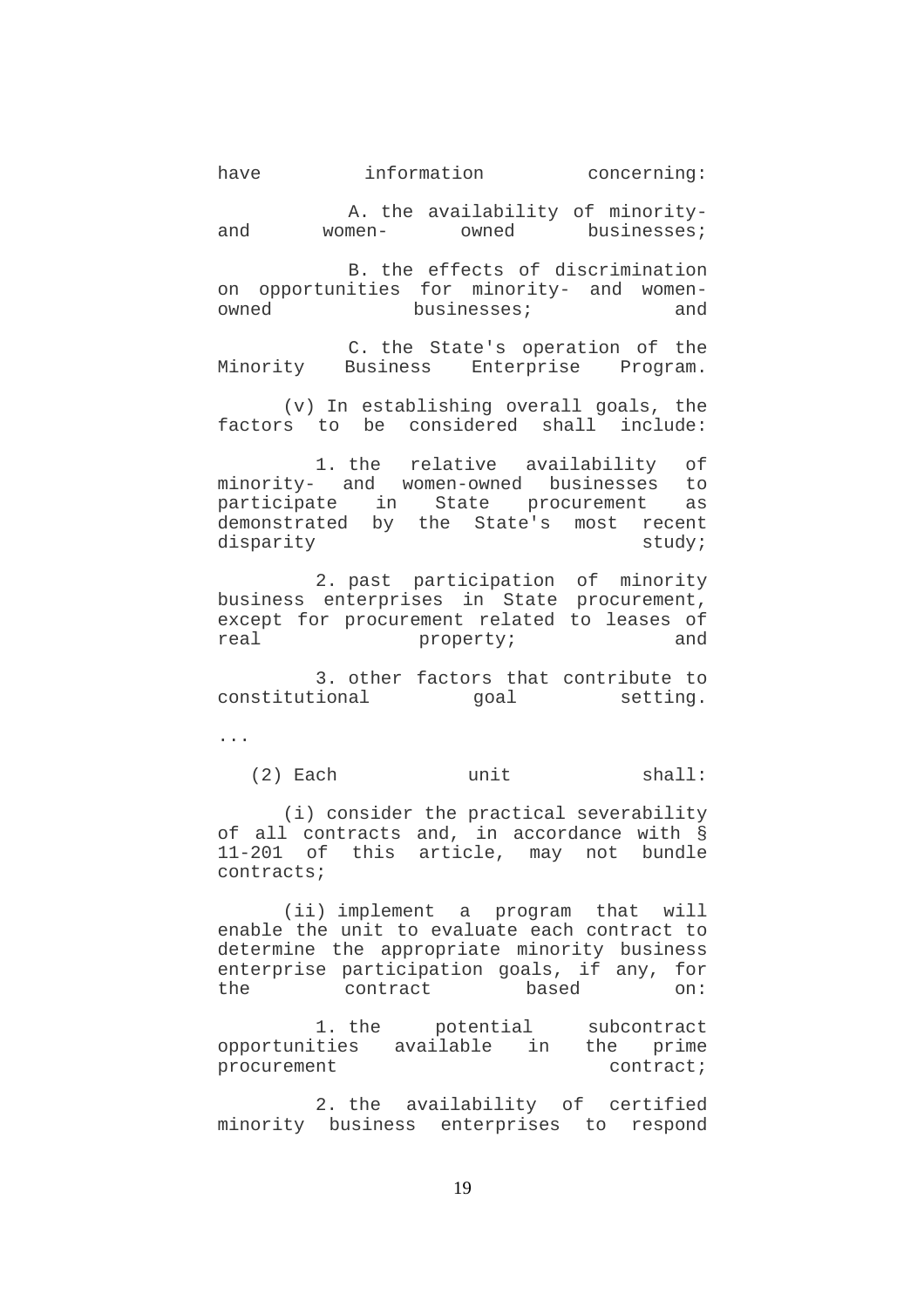A. the availability of minorityand women- owned businesses;

 B. the effects of discrimination on opportunities for minority- and womenowned businesses; and

 C. the State's operation of the Minority Business Enterprise Program.

 (v) In establishing overall goals, the factors to be considered shall include:

 1. the relative availability of minority- and women-owned businesses to participate in State procurement as demonstrated by the State's most recent disparity study;

 2. past participation of minority business enterprises in State procurement, except for procurement related to leases of real property; and

 3. other factors that contribute to constitutional goal setting.

...

(2) Each unit shall:

 (i) consider the practical severability of all contracts and, in accordance with § 11-201 of this article, may not bundle contracts;

 (ii) implement a program that will enable the unit to evaluate each contract to determine the appropriate minority business enterprise participation goals, if any, for the contract based on:

 1. the potential subcontract opportunities available in the prime procurement contract;

 2. the availability of certified minority business enterprises to respond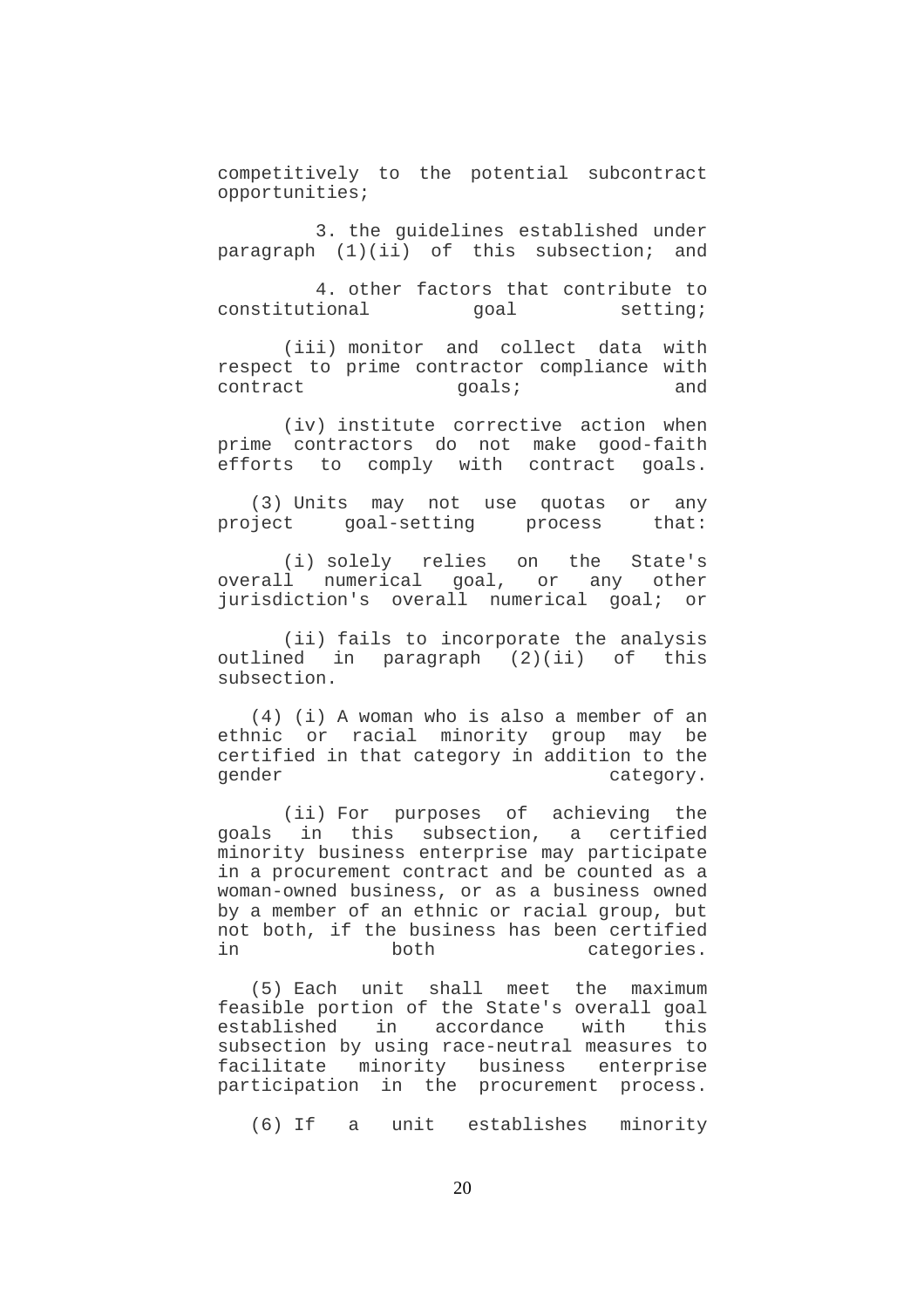competitively to the potential subcontract opportunities;

 3. the guidelines established under paragraph (1)(ii) of this subsection; and

 4. other factors that contribute to constitutional goal setting;

 (iii) monitor and collect data with respect to prime contractor compliance with contract qoals; and

 (iv) institute corrective action when prime contractors do not make good-faith efforts to comply with contract goals.

 (3) Units may not use quotas or any project goal-setting process that:

 (i) solely relies on the State's overall numerical goal, or any other jurisdiction's overall numerical goal; or

 (ii) fails to incorporate the analysis outlined in paragraph (2)(ii) of this subsection.

 (4) (i) A woman who is also a member of an ethnic or racial minority group may be certified in that category in addition to the gender category.

 (ii) For purposes of achieving the goals in this subsection, a certified minority business enterprise may participate in a procurement contract and be counted as a woman-owned business, or as a business owned by a member of an ethnic or racial group, but not both, if the business has been certified in both categories.

 (5) Each unit shall meet the maximum feasible portion of the State's overall goal<br>established in accordance with this in accordance with this subsection by using race-neutral measures to facilitate minority business enterprise participation in the procurement process.

(6) If a unit establishes minority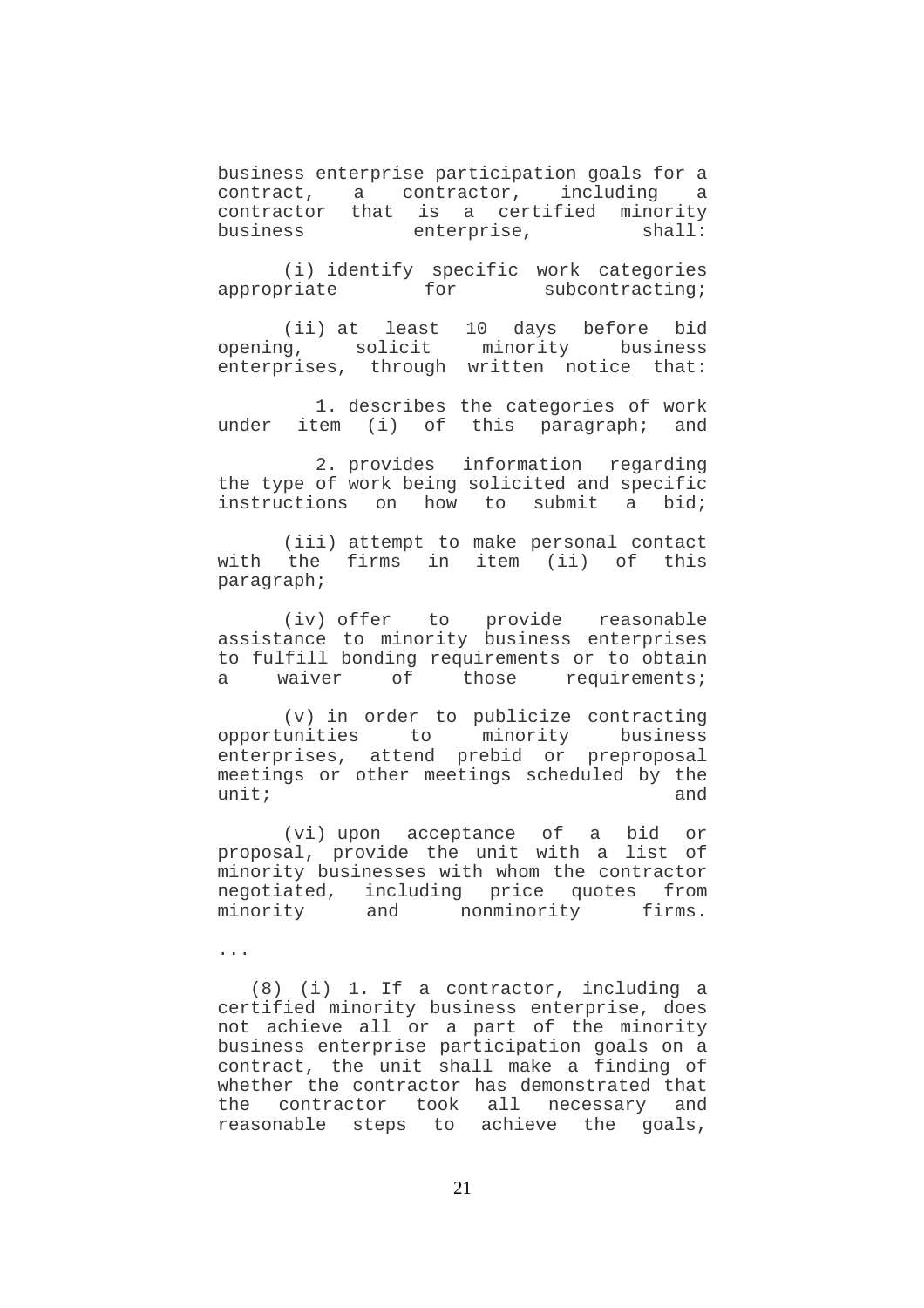business enterprise participation goals for a contract, a contractor, including a contractor that is a certified minority business enterprise, shall:

 (i) identify specific work categories appropriate for subcontracting;

(ii) at least 10 days before bid<br>opening, solicit minority business minority business enterprises, through written notice that:

 1. describes the categories of work under item (i) of this paragraph; and

 2. provides information regarding the type of work being solicited and specific instructions on how to submit a bid;

 (iii) attempt to make personal contact with the firms in item (ii) of this paragraph;

 (iv) offer to provide reasonable assistance to minority business enterprises to fulfill bonding requirements or to obtain<br>a waiver of those requirements; a waiver of those requirements;

 (v) in order to publicize contracting opportunities to minority business enterprises, attend prebid or preproposal meetings or other meetings scheduled by the  $unit:$  and  $unit:$ 

 (vi) upon acceptance of a bid or proposal, provide the unit with a list of minority businesses with whom the contractor negotiated, including price quotes from minority and nonminority firms.

...

 (8) (i) 1. If a contractor, including a certified minority business enterprise, does not achieve all or a part of the minority business enterprise participation goals on a contract, the unit shall make a finding of whether the contractor has demonstrated that the contractor took all necessary and reasonable steps to achieve the goals,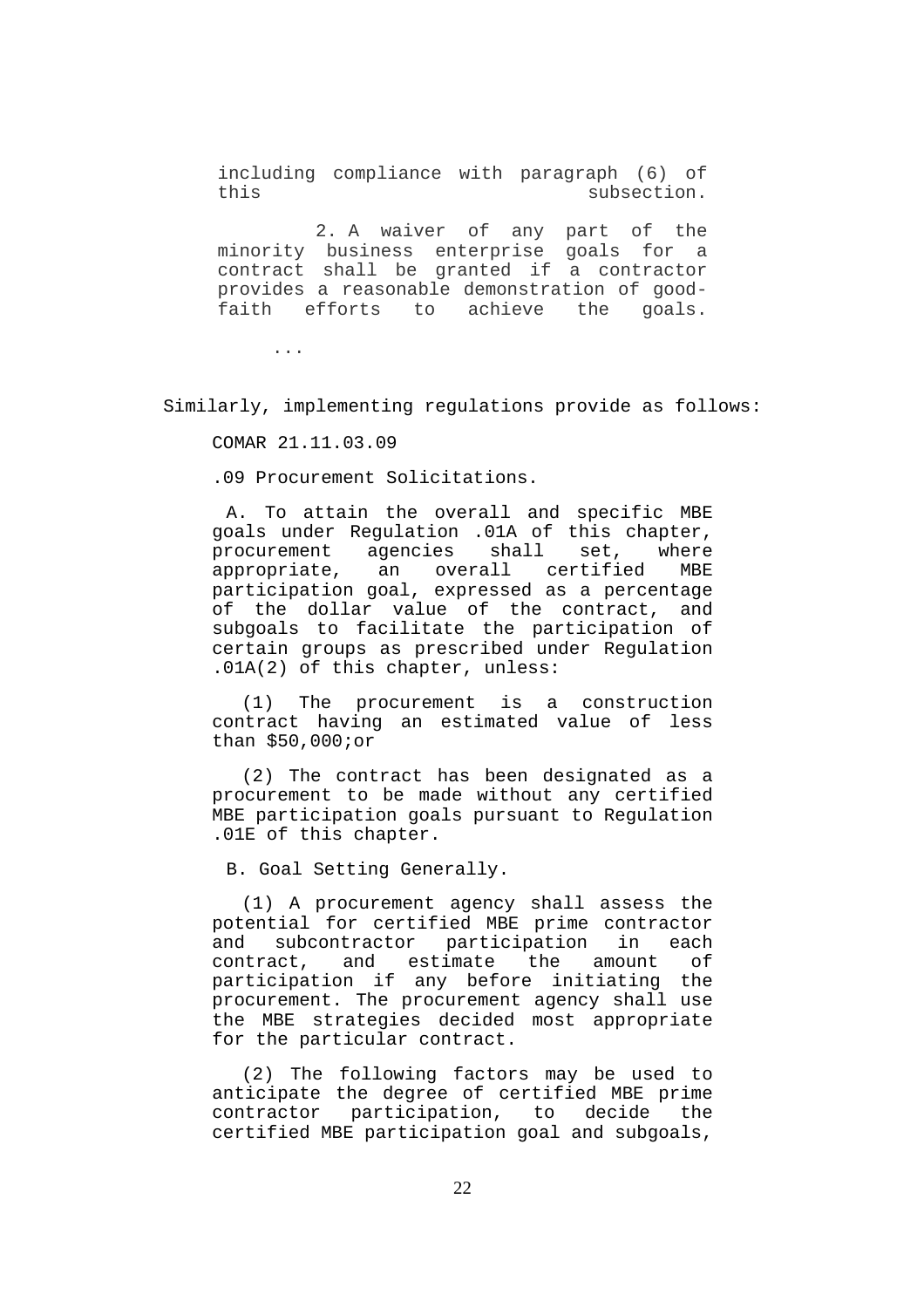including compliance with paragraph (6) of this subsection.

 2. A waiver of any part of the minority business enterprise goals for a contract shall be granted if a contractor provides a reasonable demonstration of goodfaith efforts to achieve the goals.

...

Similarly, implementing regulations provide as follows:

COMAR 21.11.03.09

.09 Procurement Solicitations.

A. To attain the overall and specific MBE goals under Regulation .01A of this chapter, procurement agencies shall set, where appropriate, an overall certified MBE participation goal, expressed as a percentage of the dollar value of the contract, and subgoals to facilitate the participation of certain groups as prescribed under Regulation .01A(2) of this chapter, unless:

(1) The procurement is a construction contract having an estimated value of less than \$50,000;or

(2) The contract has been designated as a procurement to be made without any certified MBE participation goals pursuant to Regulation .01E of this chapter.

B. Goal Setting Generally.

(1) A procurement agency shall assess the potential for certified MBE prime contractor and subcontractor participation in each contract, and estimate the amount of participation if any before initiating the procurement. The procurement agency shall use the MBE strategies decided most appropriate for the particular contract.

(2) The following factors may be used to anticipate the degree of certified MBE prime contractor participation, to decide the certified MBE participation goal and subgoals,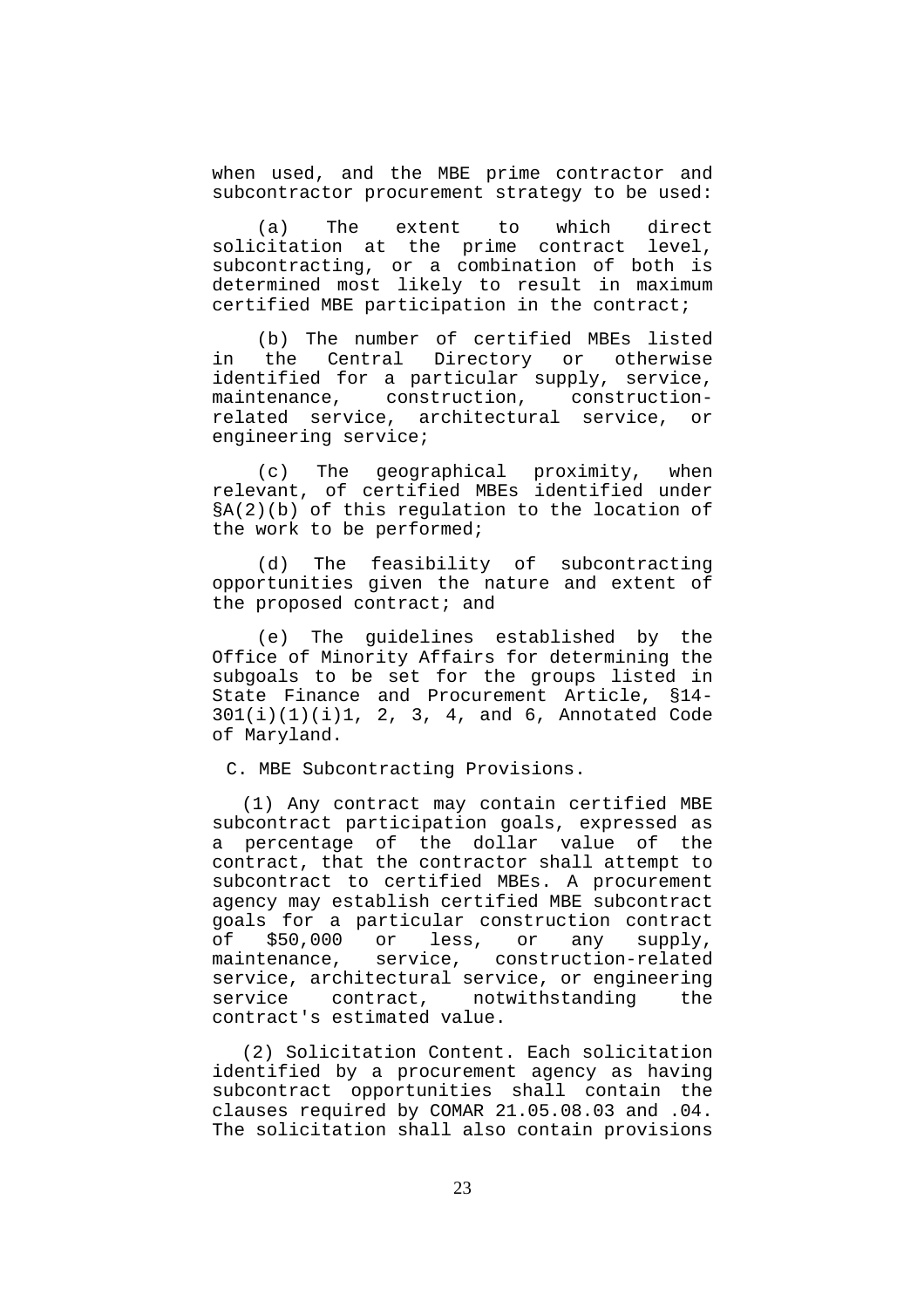when used, and the MBE prime contractor and subcontractor procurement strategy to be used:

(a) The extent to which direct solicitation at the prime contract level, subcontracting, or a combination of both is determined most likely to result in maximum certified MBE participation in the contract;

(b) The number of certified MBEs listed in the Central Directory or otherwise identified for a particular supply, service, maintenance, construction, constructionrelated service, architectural service, or engineering service;

(c) The geographical proximity, when relevant, of certified MBEs identified under §A(2)(b) of this regulation to the location of the work to be performed;

(d) The feasibility of subcontracting opportunities given the nature and extent of the proposed contract; and

(e) The guidelines established by the Office of Minority Affairs for determining the subgoals to be set for the groups listed in State Finance and Procurement Article, §14- 301(i)(1)(i)1, 2, 3, 4, and 6, Annotated Code of Maryland.

C. MBE Subcontracting Provisions.

(1) Any contract may contain certified MBE subcontract participation goals, expressed as a percentage of the dollar value of the contract, that the contractor shall attempt to subcontract to certified MBEs. A procurement agency may establish certified MBE subcontract goals for a particular construction contract of \$50,000 or less, or any supply, maintenance, service, construction-related service, architectural service, or engineering service contract, notwithstanding the contract's estimated value.

(2) Solicitation Content. Each solicitation identified by a procurement agency as having subcontract opportunities shall contain the clauses required by COMAR 21.05.08.03 and .04. The solicitation shall also contain provisions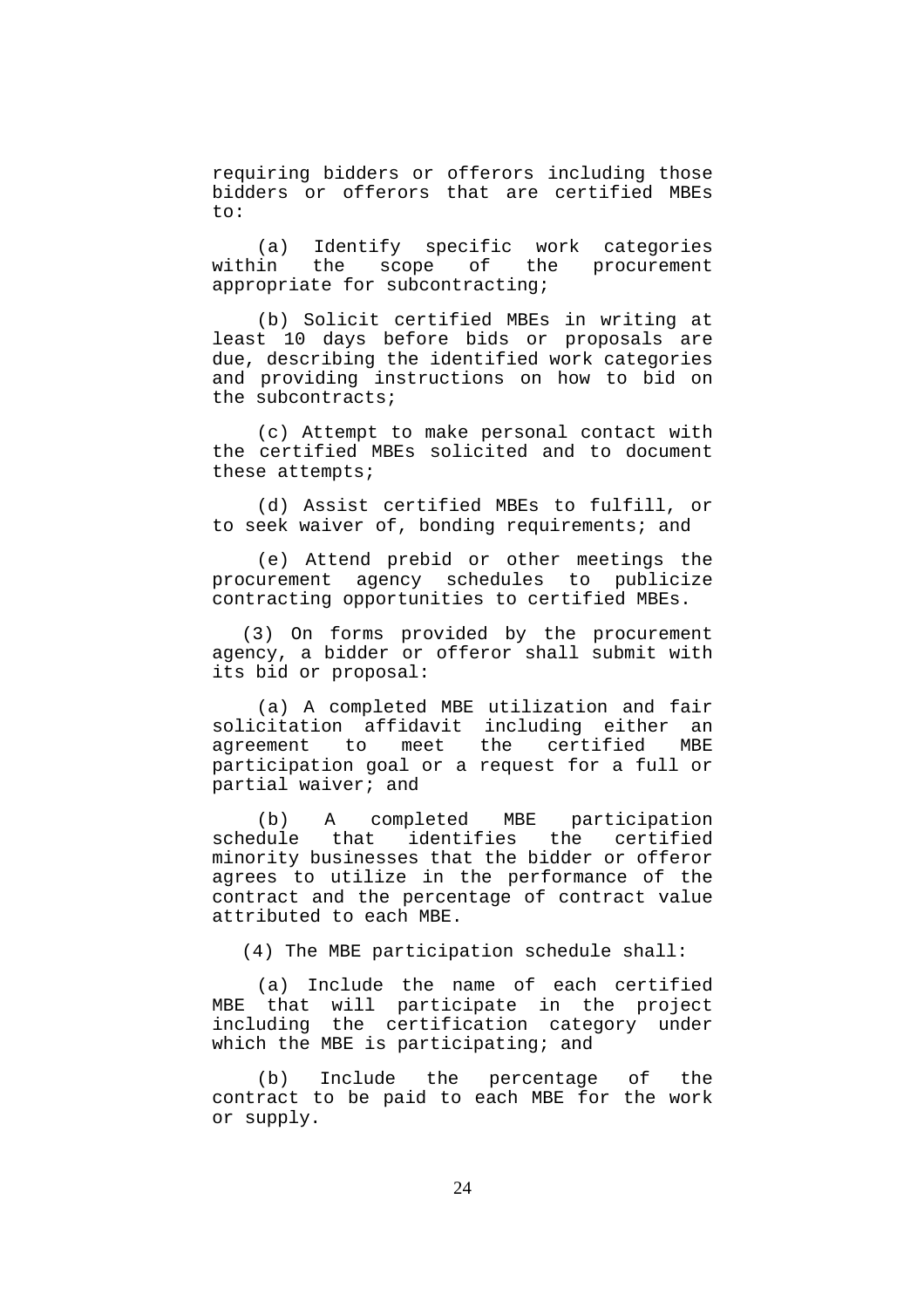requiring bidders or offerors including those bidders or offerors that are certified MBEs to:

(a) Identify specific work categories within the scope of the procurement appropriate for subcontracting;

(b) Solicit certified MBEs in writing at least 10 days before bids or proposals are due, describing the identified work categories and providing instructions on how to bid on the subcontracts;

(c) Attempt to make personal contact with the certified MBEs solicited and to document these attempts;

(d) Assist certified MBEs to fulfill, or to seek waiver of, bonding requirements; and

(e) Attend prebid or other meetings the procurement agency schedules to publicize contracting opportunities to certified MBEs.

(3) On forms provided by the procurement agency, a bidder or offeror shall submit with its bid or proposal:

(a) A completed MBE utilization and fair solicitation affidavit including either an<br>agreement to meet the certified MBE agreement to meet the certified MBE participation goal or a request for a full or partial waiver; and

(b) A completed MBE participation schedule that identifies the certified minority businesses that the bidder or offeror agrees to utilize in the performance of the contract and the percentage of contract value attributed to each MBE.

(4) The MBE participation schedule shall:

(a) Include the name of each certified MBE that will participate in the project including the certification category under which the MBE is participating; and

(b) Include the percentage of the contract to be paid to each MBE for the work or supply.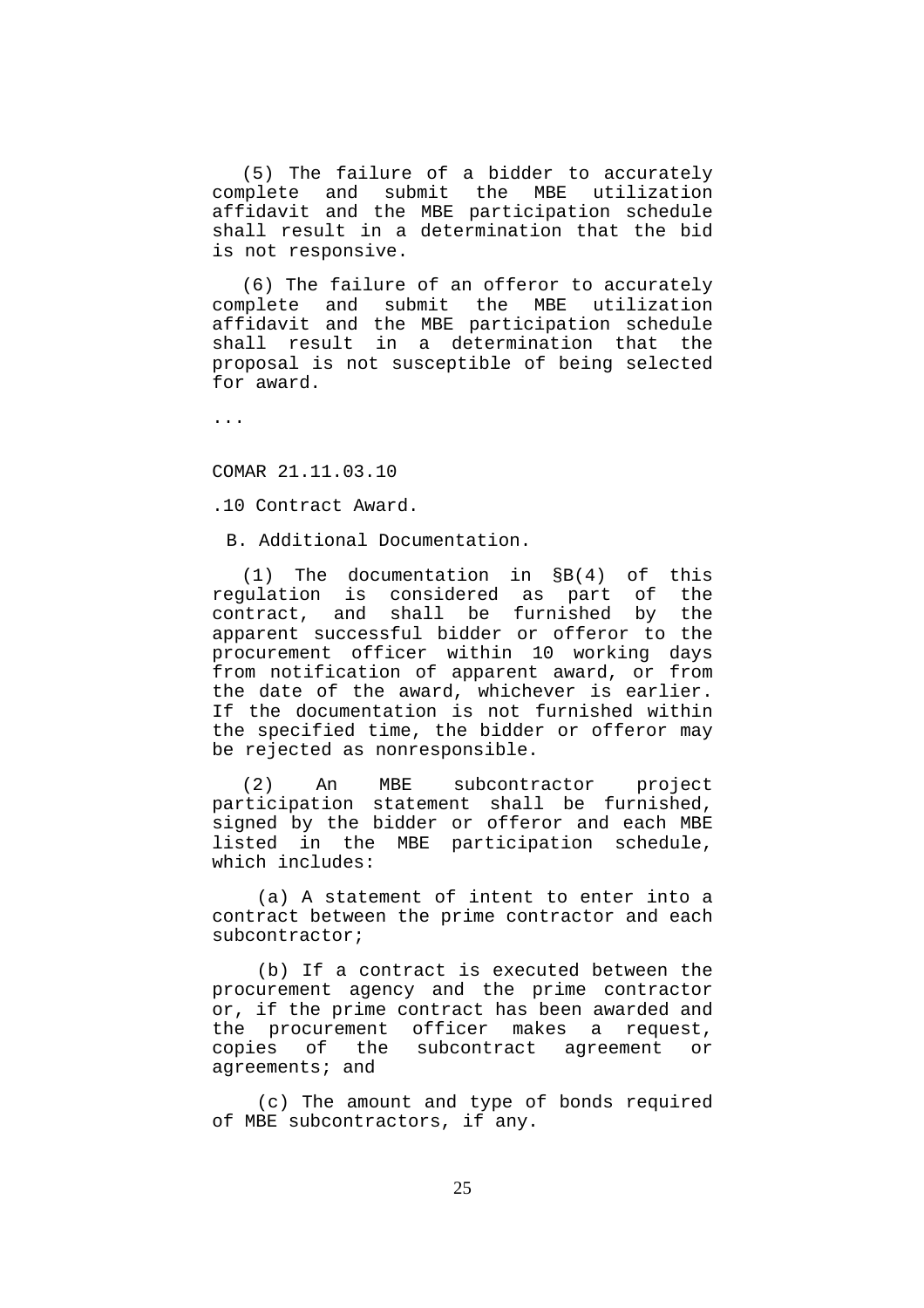(5) The failure of a bidder to accurately complete and submit the MBE utilization affidavit and the MBE participation schedule shall result in a determination that the bid is not responsive.

(6) The failure of an offeror to accurately complete and submit the MBE utilization affidavit and the MBE participation schedule shall result in a determination that the proposal is not susceptible of being selected for award.

...

COMAR 21.11.03.10

.10 Contract Award.

B. Additional Documentation.

(1) The documentation in §B(4) of this regulation is considered as part of the contract, and shall be furnished by the apparent successful bidder or offeror to the procurement officer within 10 working days from notification of apparent award, or from the date of the award, whichever is earlier. If the documentation is not furnished within the specified time, the bidder or offeror may be rejected as nonresponsible.

(2) An MBE subcontractor project participation statement shall be furnished, signed by the bidder or offeror and each MBE listed in the MBE participation schedule, which includes:

(a) A statement of intent to enter into a contract between the prime contractor and each subcontractor;

(b) If a contract is executed between the procurement agency and the prime contractor or, if the prime contract has been awarded and the procurement officer makes a request, copies of the subcontract agreement or agreements; and

(c) The amount and type of bonds required of MBE subcontractors, if any.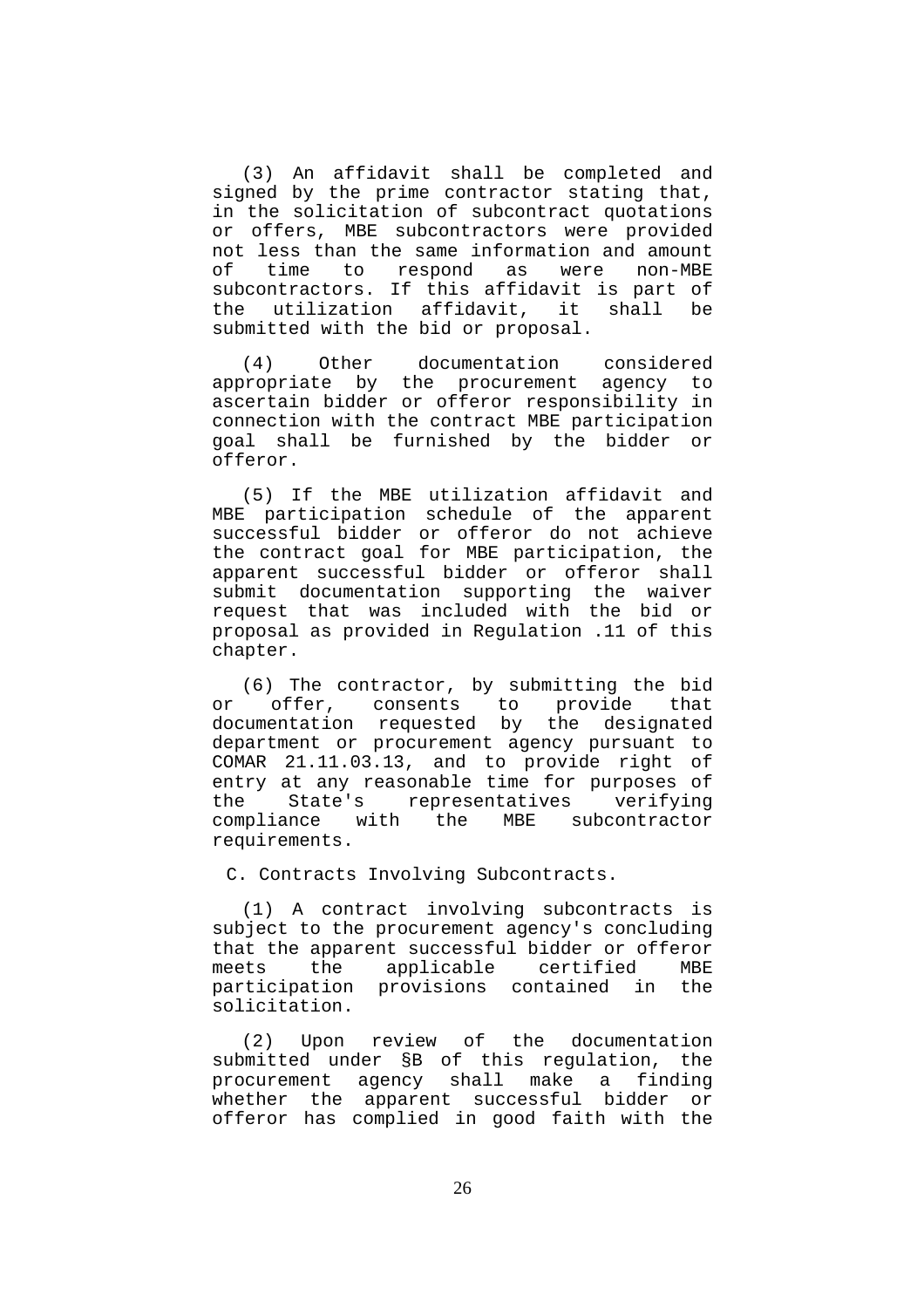(3) An affidavit shall be completed and signed by the prime contractor stating that, in the solicitation of subcontract quotations or offers, MBE subcontractors were provided not less than the same information and amount of time to respond as were non-MBE subcontractors. If this affidavit is part of the utilization affidavit, it shall be submitted with the bid or proposal.

(4) Other documentation considered appropriate by the procurement agency to ascertain bidder or offeror responsibility in connection with the contract MBE participation goal shall be furnished by the bidder or offeror.

(5) If the MBE utilization affidavit and MBE participation schedule of the apparent successful bidder or offeror do not achieve the contract goal for MBE participation, the apparent successful bidder or offeror shall submit documentation supporting the waiver request that was included with the bid or proposal as provided in Regulation .11 of this chapter.

(6) The contractor, by submitting the bid or offer, consents to provide that documentation requested by the designated department or procurement agency pursuant to COMAR 21.11.03.13, and to provide right of entry at any reasonable time for purposes of the State's representatives verifying compliance with the MBE subcontractor requirements.

C. Contracts Involving Subcontracts.

(1) A contract involving subcontracts is subject to the procurement agency's concluding that the apparent successful bidder or offeror meets the applicable certified MBE participation provisions contained in the solicitation.

(2) Upon review of the documentation submitted under §B of this regulation, the procurement agency shall make a finding whether the apparent successful bidder or offeror has complied in good faith with the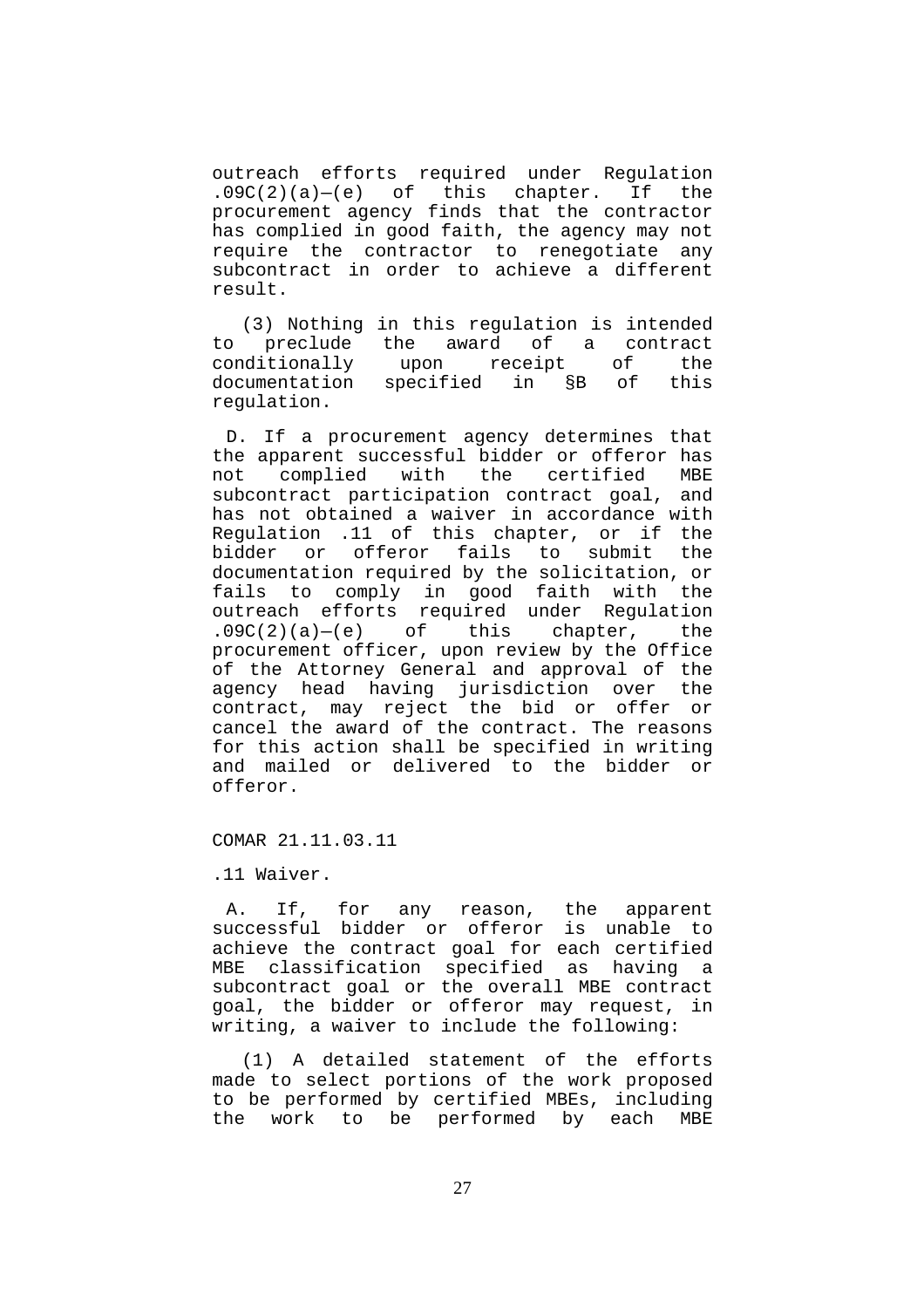outreach efforts required under Regulation  $.09C(2)(a) - (e)$  of this chapter. If the procurement agency finds that the contractor has complied in good faith, the agency may not require the contractor to renegotiate any subcontract in order to achieve a different result.

(3) Nothing in this regulation is intended to preclude the award of a contract<br>conditionally upon receipt of the upon receipt of the documentation specified in §B of this regulation.

D. If a procurement agency determines that the apparent successful bidder or offeror has not complied with the certified MBE subcontract participation contract goal, and has not obtained a waiver in accordance with Regulation .11 of this chapter, or if the bidder or offeror fails to submit the documentation required by the solicitation, or fails to comply in good faith with the outreach efforts required under Regulation  $.09C(2)(a) - (e)$  of this chapter, the procurement officer, upon review by the Office of the Attorney General and approval of the agency head having jurisdiction over the contract, may reject the bid or offer or cancel the award of the contract. The reasons for this action shall be specified in writing and mailed or delivered to the bidder or offeror.

COMAR 21.11.03.11

.11 Waiver.

A. If, for any reason, the apparent successful bidder or offeror is unable to achieve the contract goal for each certified MBE classification specified as having a subcontract goal or the overall MBE contract goal, the bidder or offeror may request, in writing, a waiver to include the following:

(1) A detailed statement of the efforts made to select portions of the work proposed to be performed by certified MBEs, including the work to be performed by each MBE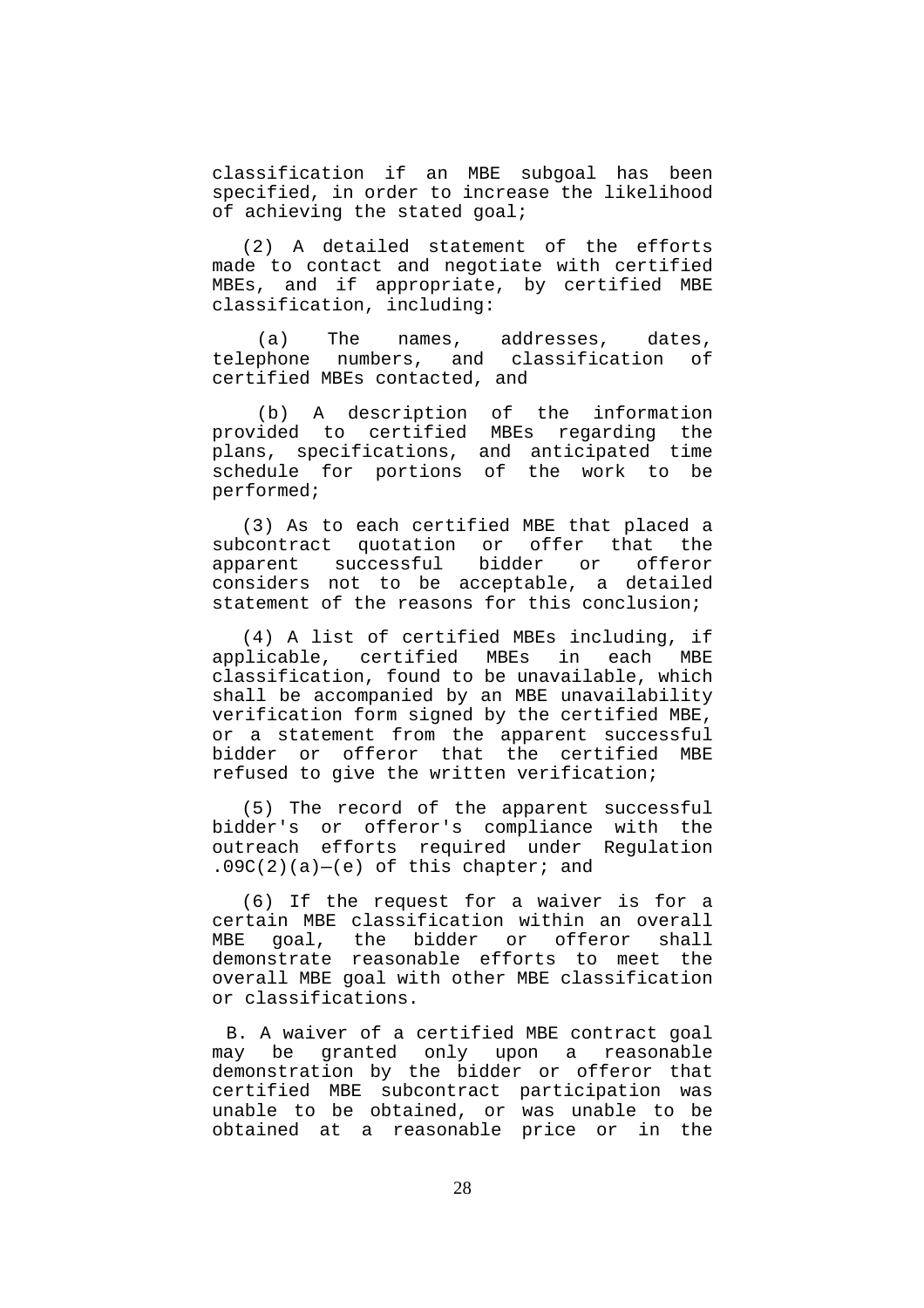classification if an MBE subgoal has been specified, in order to increase the likelihood of achieving the stated goal;

(2) A detailed statement of the efforts made to contact and negotiate with certified MBEs, and if appropriate, by certified MBE classification, including:

(a) The names, addresses, dates, telephone numbers, and classification of certified MBEs contacted, and

(b) A description of the information provided to certified MBEs regarding the plans, specifications, and anticipated time schedule for portions of the work to be performed;

(3) As to each certified MBE that placed a subcontract quotation or offer that the apparent successful bidder or offeror considers not to be acceptable, a detailed statement of the reasons for this conclusion;

(4) A list of certified MBEs including, if applicable, certified MBEs in each MBE classification, found to be unavailable, which shall be accompanied by an MBE unavailability verification form signed by the certified MBE, or a statement from the apparent successful bidder or offeror that the certified MBE refused to give the written verification;

(5) The record of the apparent successful bidder's or offeror's compliance with the outreach efforts required under Regulation  $.09C(2)(a)–(e)$  of this chapter; and

(6) If the request for a waiver is for a certain MBE classification within an overall MBE goal, the bidder or offeror shall demonstrate reasonable efforts to meet the overall MBE goal with other MBE classification or classifications.

B. A waiver of a certified MBE contract goal may be granted only upon a reasonable demonstration by the bidder or offeror that certified MBE subcontract participation was unable to be obtained, or was unable to be obtained at a reasonable price or in the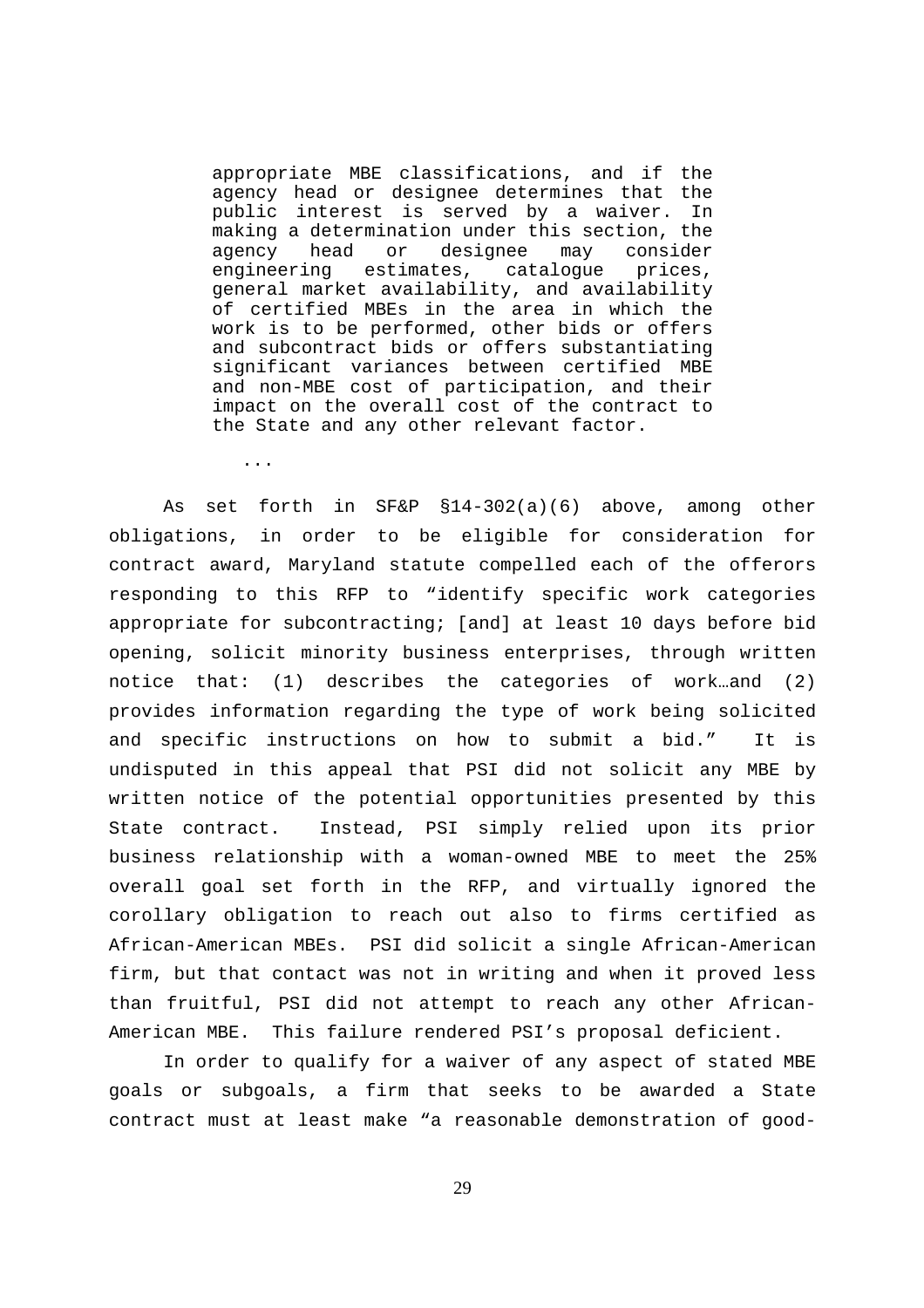appropriate MBE classifications, and if the agency head or designee determines that the public interest is served by a waiver. In making a determination under this section, the agency head or designee may consider engineering estimates, catalogue prices, general market availability, and availability of certified MBEs in the area in which the work is to be performed, other bids or offers and subcontract bids or offers substantiating significant variances between certified MBE and non-MBE cost of participation, and their impact on the overall cost of the contract to the State and any other relevant factor.

...

As set forth in SF&P §14-302(a)(6) above, among other obligations, in order to be eligible for consideration for contract award, Maryland statute compelled each of the offerors responding to this RFP to "identify specific work categories appropriate for subcontracting; [and] at least 10 days before bid opening, solicit minority business enterprises, through written notice that: (1) describes the categories of work…and (2) provides information regarding the type of work being solicited and specific instructions on how to submit a bid." It is undisputed in this appeal that PSI did not solicit any MBE by written notice of the potential opportunities presented by this State contract. Instead, PSI simply relied upon its prior business relationship with a woman-owned MBE to meet the 25% overall goal set forth in the RFP, and virtually ignored the corollary obligation to reach out also to firms certified as African-American MBEs. PSI did solicit a single African-American firm, but that contact was not in writing and when it proved less than fruitful, PSI did not attempt to reach any other African-American MBE. This failure rendered PSI's proposal deficient.

In order to qualify for a waiver of any aspect of stated MBE goals or subgoals, a firm that seeks to be awarded a State contract must at least make "a reasonable demonstration of good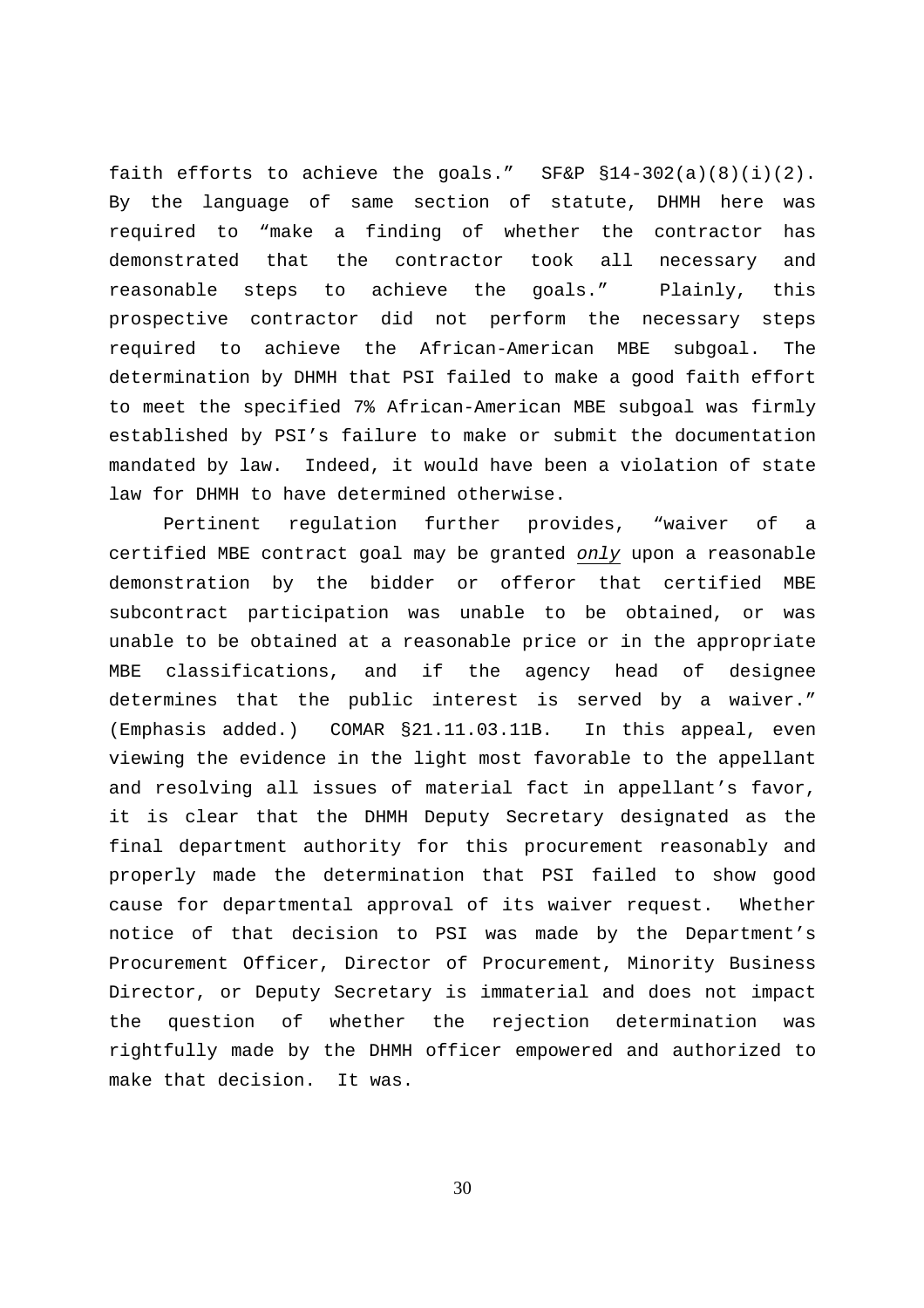faith efforts to achieve the goals."  $SFAP S14-302(a)(8)(i)(2)$ . By the language of same section of statute, DHMH here was required to "make a finding of whether the contractor has demonstrated that the contractor took all necessary and reasonable steps to achieve the goals." Plainly, this prospective contractor did not perform the necessary steps required to achieve the African-American MBE subgoal. The determination by DHMH that PSI failed to make a good faith effort to meet the specified 7% African-American MBE subgoal was firmly established by PSI's failure to make or submit the documentation mandated by law. Indeed, it would have been a violation of state law for DHMH to have determined otherwise.

Pertinent regulation further provides, "waiver of a certified MBE contract goal may be granted only upon a reasonable demonstration by the bidder or offeror that certified MBE subcontract participation was unable to be obtained, or was unable to be obtained at a reasonable price or in the appropriate MBE classifications, and if the agency head of designee determines that the public interest is served by a waiver." (Emphasis added.) COMAR §21.11.03.11B. In this appeal, even viewing the evidence in the light most favorable to the appellant and resolving all issues of material fact in appellant's favor, it is clear that the DHMH Deputy Secretary designated as the final department authority for this procurement reasonably and properly made the determination that PSI failed to show good cause for departmental approval of its waiver request. Whether notice of that decision to PSI was made by the Department's Procurement Officer, Director of Procurement, Minority Business Director, or Deputy Secretary is immaterial and does not impact the question of whether the rejection determination was rightfully made by the DHMH officer empowered and authorized to make that decision. It was.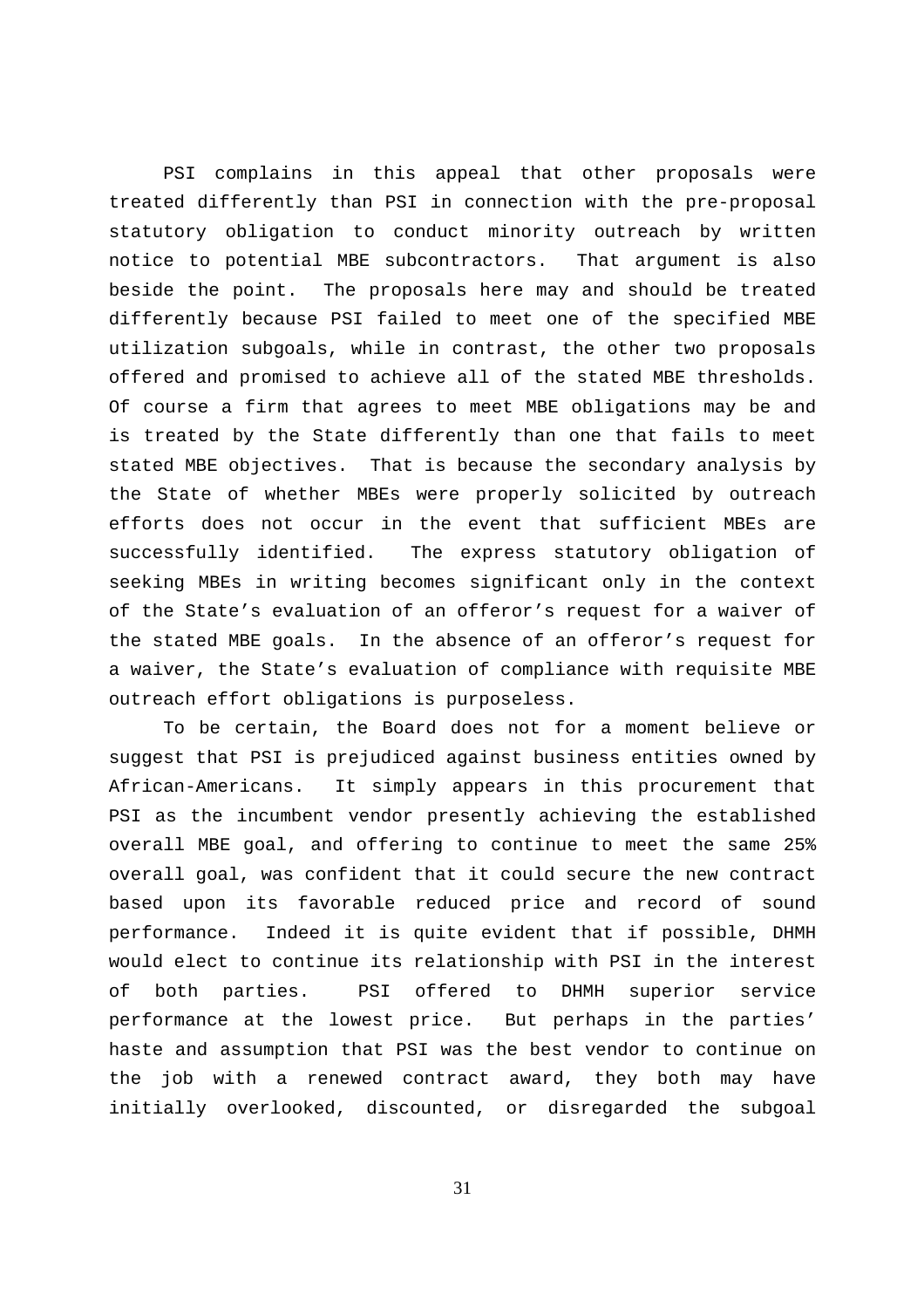PSI complains in this appeal that other proposals were treated differently than PSI in connection with the pre-proposal statutory obligation to conduct minority outreach by written notice to potential MBE subcontractors. That argument is also beside the point. The proposals here may and should be treated differently because PSI failed to meet one of the specified MBE utilization subgoals, while in contrast, the other two proposals offered and promised to achieve all of the stated MBE thresholds. Of course a firm that agrees to meet MBE obligations may be and is treated by the State differently than one that fails to meet stated MBE objectives. That is because the secondary analysis by the State of whether MBEs were properly solicited by outreach efforts does not occur in the event that sufficient MBEs are successfully identified. The express statutory obligation of seeking MBEs in writing becomes significant only in the context of the State's evaluation of an offeror's request for a waiver of the stated MBE goals. In the absence of an offeror's request for a waiver, the State's evaluation of compliance with requisite MBE outreach effort obligations is purposeless.

To be certain, the Board does not for a moment believe or suggest that PSI is prejudiced against business entities owned by African-Americans. It simply appears in this procurement that PSI as the incumbent vendor presently achieving the established overall MBE goal, and offering to continue to meet the same 25% overall goal, was confident that it could secure the new contract based upon its favorable reduced price and record of sound performance. Indeed it is quite evident that if possible, DHMH would elect to continue its relationship with PSI in the interest of both parties. PSI offered to DHMH superior service performance at the lowest price. But perhaps in the parties' haste and assumption that PSI was the best vendor to continue on the job with a renewed contract award, they both may have initially overlooked, discounted, or disregarded the subgoal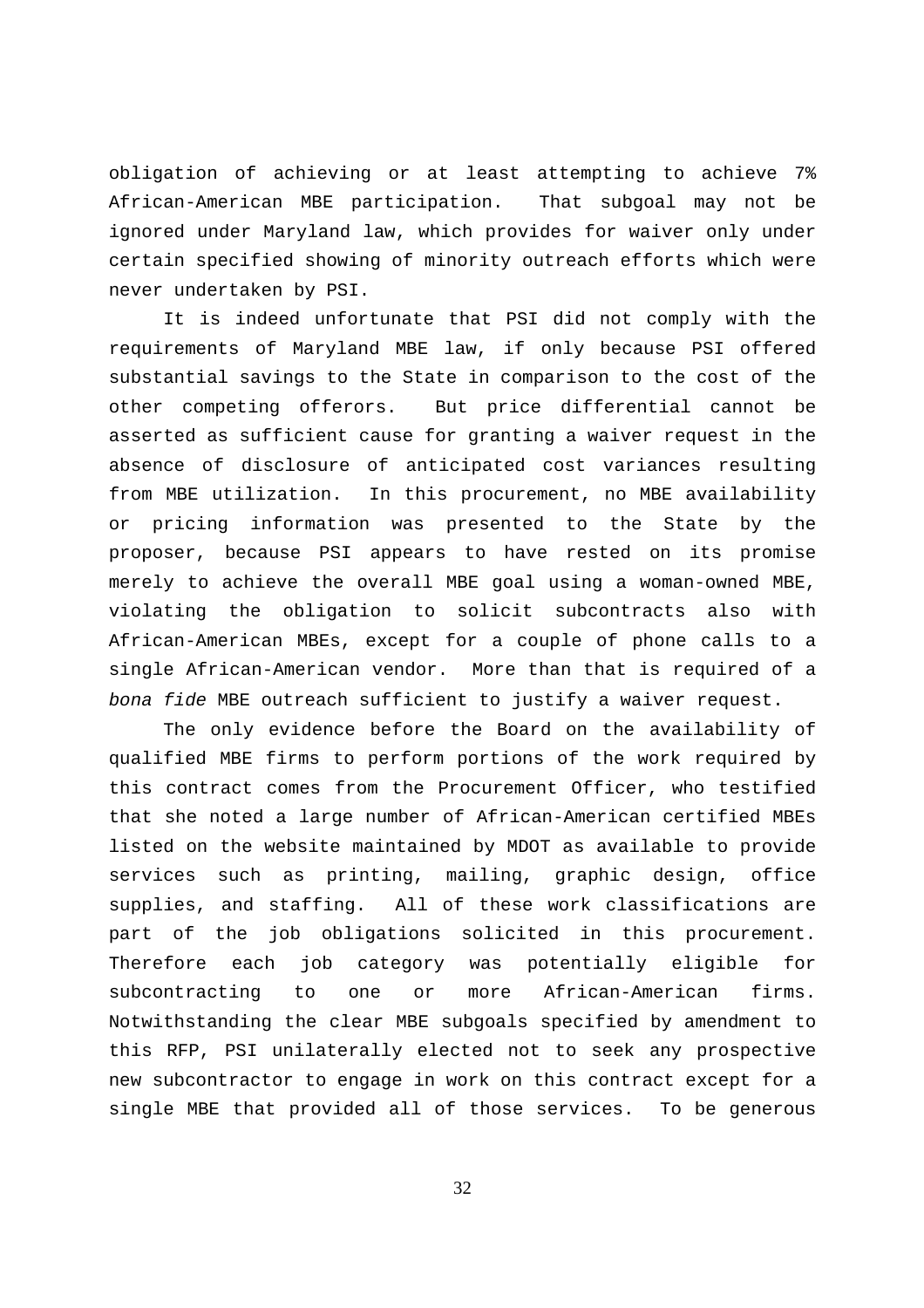obligation of achieving or at least attempting to achieve 7% African-American MBE participation. That subgoal may not be ignored under Maryland law, which provides for waiver only under certain specified showing of minority outreach efforts which were never undertaken by PSI.

It is indeed unfortunate that PSI did not comply with the requirements of Maryland MBE law, if only because PSI offered substantial savings to the State in comparison to the cost of the other competing offerors. But price differential cannot be asserted as sufficient cause for granting a waiver request in the absence of disclosure of anticipated cost variances resulting from MBE utilization. In this procurement, no MBE availability or pricing information was presented to the State by the proposer, because PSI appears to have rested on its promise merely to achieve the overall MBE goal using a woman-owned MBE, violating the obligation to solicit subcontracts also with African-American MBEs, except for a couple of phone calls to a single African-American vendor. More than that is required of a bona fide MBE outreach sufficient to justify a waiver request.

The only evidence before the Board on the availability of qualified MBE firms to perform portions of the work required by this contract comes from the Procurement Officer, who testified that she noted a large number of African-American certified MBEs listed on the website maintained by MDOT as available to provide services such as printing, mailing, graphic design, office supplies, and staffing. All of these work classifications are part of the job obligations solicited in this procurement. Therefore each job category was potentially eligible for subcontracting to one or more African-American firms. Notwithstanding the clear MBE subgoals specified by amendment to this RFP, PSI unilaterally elected not to seek any prospective new subcontractor to engage in work on this contract except for a single MBE that provided all of those services. To be generous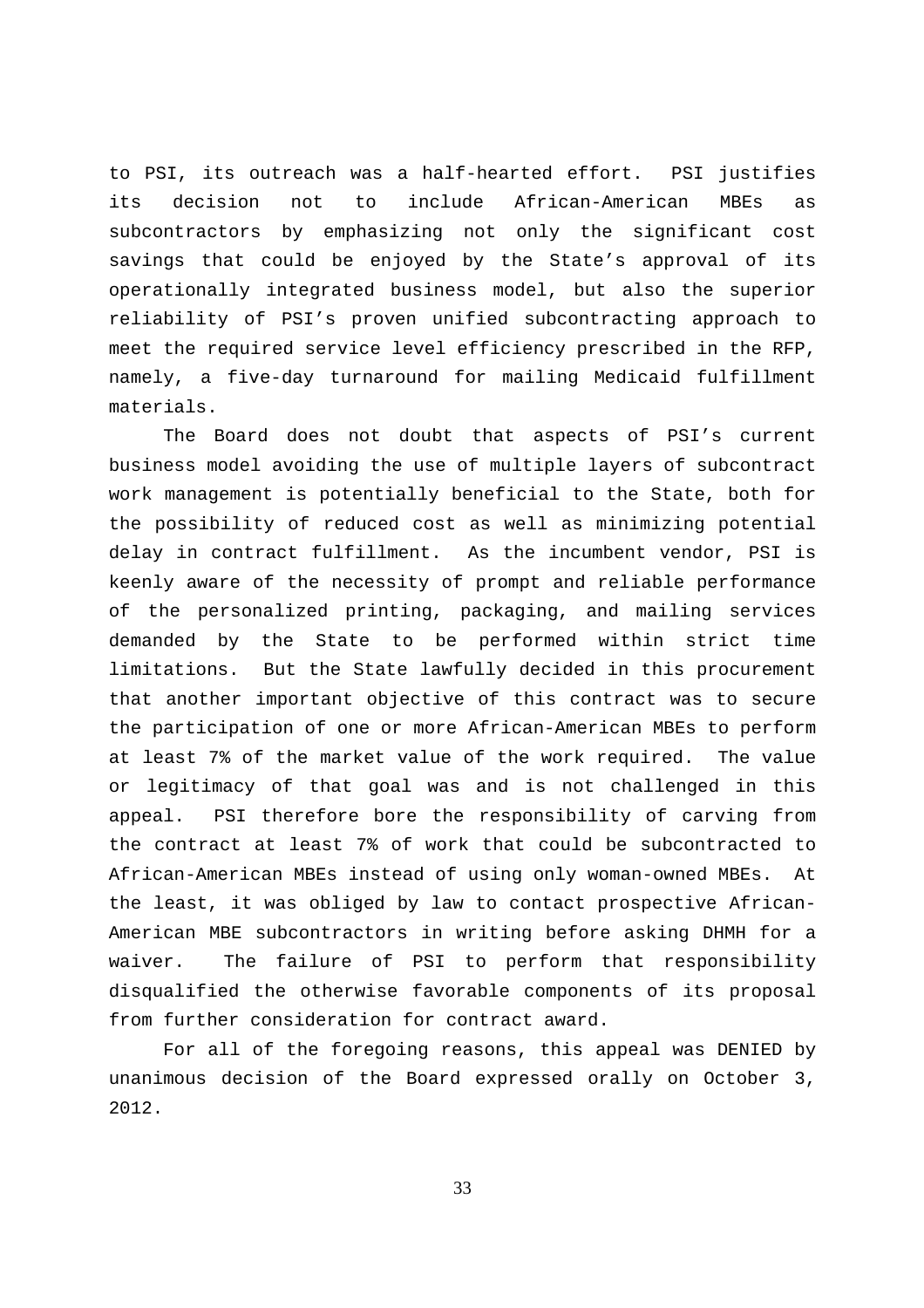to PSI, its outreach was a half-hearted effort. PSI justifies its decision not to include African-American MBEs as subcontractors by emphasizing not only the significant cost savings that could be enjoyed by the State's approval of its operationally integrated business model, but also the superior reliability of PSI's proven unified subcontracting approach to meet the required service level efficiency prescribed in the RFP, namely, a five-day turnaround for mailing Medicaid fulfillment materials.

The Board does not doubt that aspects of PSI's current business model avoiding the use of multiple layers of subcontract work management is potentially beneficial to the State, both for the possibility of reduced cost as well as minimizing potential delay in contract fulfillment. As the incumbent vendor, PSI is keenly aware of the necessity of prompt and reliable performance of the personalized printing, packaging, and mailing services demanded by the State to be performed within strict time limitations. But the State lawfully decided in this procurement that another important objective of this contract was to secure the participation of one or more African-American MBEs to perform at least 7% of the market value of the work required. The value or legitimacy of that goal was and is not challenged in this appeal. PSI therefore bore the responsibility of carving from the contract at least 7% of work that could be subcontracted to African-American MBEs instead of using only woman-owned MBEs. At the least, it was obliged by law to contact prospective African-American MBE subcontractors in writing before asking DHMH for a waiver. The failure of PSI to perform that responsibility disqualified the otherwise favorable components of its proposal from further consideration for contract award.

For all of the foregoing reasons, this appeal was DENIED by unanimous decision of the Board expressed orally on October 3, 2012.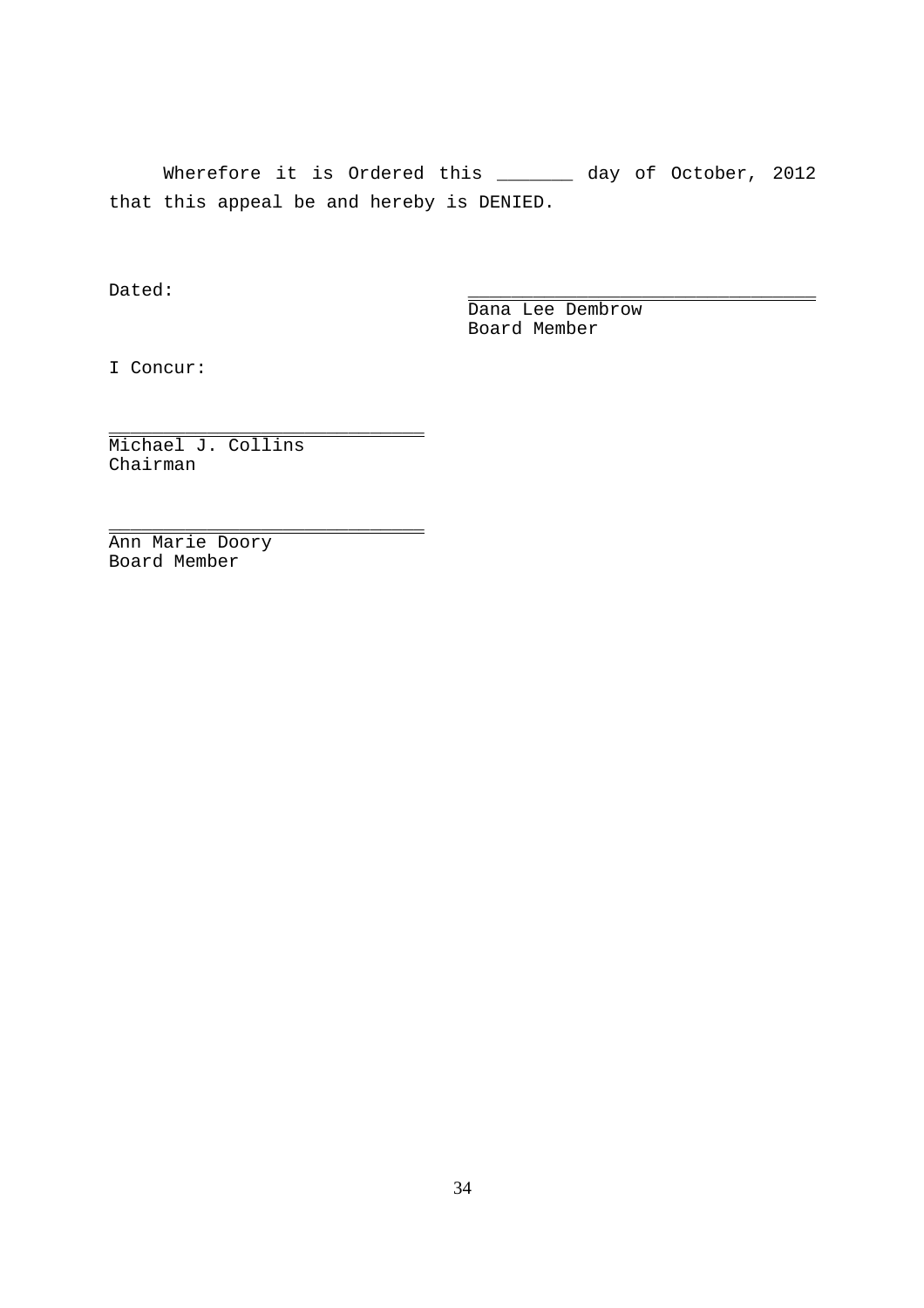Wherefore it is Ordered this \_\_\_\_\_\_\_ day of October, 2012 that this appeal be and hereby is DENIED.

Dated: \_\_\_\_\_\_\_\_\_\_\_\_\_\_\_\_\_\_\_\_\_\_\_\_\_\_\_\_\_\_\_\_

Dana Lee Dembrow Board Member

I Concur:

Michael J. Collins Chairman

\_\_\_\_\_\_\_\_\_\_\_\_\_\_\_\_\_\_\_\_\_\_\_\_\_\_\_\_\_

\_\_\_\_\_\_\_\_\_\_\_\_\_\_\_\_\_\_\_\_\_\_\_\_\_\_\_\_\_

Ann Marie Doory Board Member